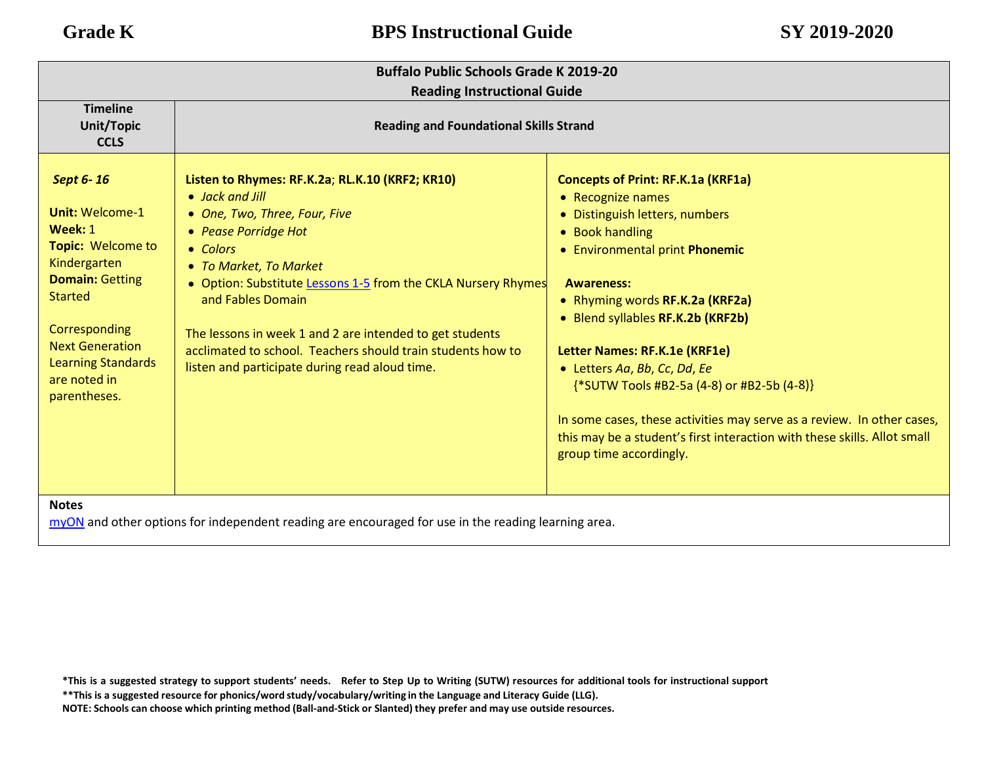| <b>Buffalo Public Schools Grade K 2019-20</b>                                                                                                                                                                                           |                                                                                                                                                                                                                                                                                                                                                                                                                                      |                                                                                                                                                                                                                                                                                                                                                                                                                                                                                                                                                    |  |  |  |
|-----------------------------------------------------------------------------------------------------------------------------------------------------------------------------------------------------------------------------------------|--------------------------------------------------------------------------------------------------------------------------------------------------------------------------------------------------------------------------------------------------------------------------------------------------------------------------------------------------------------------------------------------------------------------------------------|----------------------------------------------------------------------------------------------------------------------------------------------------------------------------------------------------------------------------------------------------------------------------------------------------------------------------------------------------------------------------------------------------------------------------------------------------------------------------------------------------------------------------------------------------|--|--|--|
|                                                                                                                                                                                                                                         | <b>Reading Instructional Guide</b>                                                                                                                                                                                                                                                                                                                                                                                                   |                                                                                                                                                                                                                                                                                                                                                                                                                                                                                                                                                    |  |  |  |
| <b>Timeline</b><br><b>Unit/Topic</b><br><b>CCLS</b>                                                                                                                                                                                     | <b>Reading and Foundational Skills Strand</b>                                                                                                                                                                                                                                                                                                                                                                                        |                                                                                                                                                                                                                                                                                                                                                                                                                                                                                                                                                    |  |  |  |
| Sept 6-16<br><b>Unit: Welcome-1</b><br>Week: 1<br>Topic: Welcome to<br>Kindergarten<br><b>Domain: Getting</b><br><b>Started</b><br>Corresponding<br><b>Next Generation</b><br><b>Learning Standards</b><br>are noted in<br>parentheses. | Listen to Rhymes: RF.K.2a; RL.K.10 (KRF2; KR10)<br>• Jack and Jill<br>• One, Two, Three, Four, Five<br>• Pease Porridge Hot<br>• Colors<br>• To Market, To Market<br>• Option: Substitute Lessons 1-5 from the CKLA Nursery Rhymes<br>and Fables Domain<br>The lessons in week 1 and 2 are intended to get students<br>acclimated to school. Teachers should train students how to<br>listen and participate during read aloud time. | <b>Concepts of Print: RF.K.1a (KRF1a)</b><br>• Recognize names<br>• Distinguish letters, numbers<br>• Book handling<br>• Environmental print Phonemic<br><b>Awareness:</b><br>• Rhyming words RF.K.2a (KRF2a)<br>• Blend syllables RF.K.2b (KRF2b)<br>Letter Names: RF.K.1e (KRF1e)<br>• Letters Aa, Bb, Cc, Dd, Ee<br>{*SUTW Tools #B2-5a (4-8) or #B2-5b (4-8)}<br>In some cases, these activities may serve as a review. In other cases,<br>this may be a student's first interaction with these skills. Allot small<br>group time accordingly. |  |  |  |
| <b>Notes</b><br>myON and other options for independent reading are encouraged for use in the reading learning area.                                                                                                                     |                                                                                                                                                                                                                                                                                                                                                                                                                                      |                                                                                                                                                                                                                                                                                                                                                                                                                                                                                                                                                    |  |  |  |

\*This is a suggested strategy to support students' needs. Refer to Step Up to Writing (SUTW) resources for additional tools for instructional support **\*\*This is a suggested resource for phonics/word study/vocabulary/writing in the Language and Literacy Guide (LLG). NOTE: Schools can choose which printing method (Ball-and-Stick or Slanted) they prefer and may use outside resources.**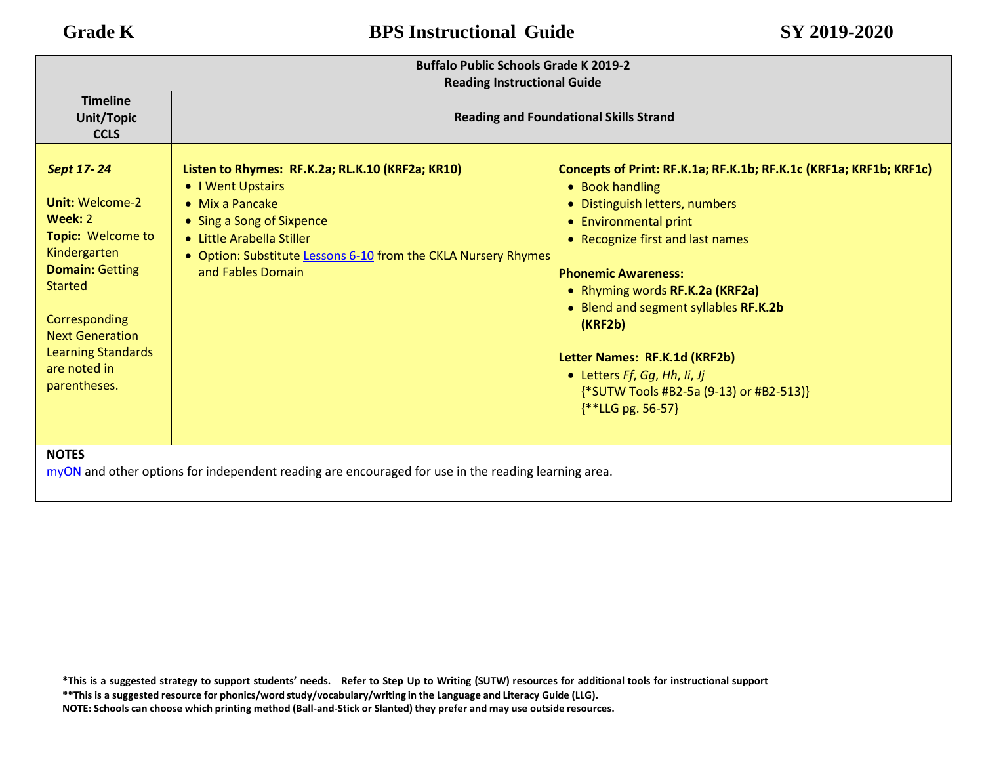| <b>Buffalo Public Schools Grade K 2019-2</b><br><b>Reading Instructional Guide</b>                                                                                                                                                              |                                                                                                                                                                                                                                                   |                                                                                                                                                                                                                                                                                                                                                                                                                                             |  |  |
|-------------------------------------------------------------------------------------------------------------------------------------------------------------------------------------------------------------------------------------------------|---------------------------------------------------------------------------------------------------------------------------------------------------------------------------------------------------------------------------------------------------|---------------------------------------------------------------------------------------------------------------------------------------------------------------------------------------------------------------------------------------------------------------------------------------------------------------------------------------------------------------------------------------------------------------------------------------------|--|--|
| <b>Timeline</b><br><b>Unit/Topic</b><br><b>CCLS</b>                                                                                                                                                                                             | <b>Reading and Foundational Skills Strand</b>                                                                                                                                                                                                     |                                                                                                                                                                                                                                                                                                                                                                                                                                             |  |  |
| Sept 17-24<br><b>Unit: Welcome-2</b><br>Week: 2<br><b>Topic: Welcome to</b><br>Kindergarten<br><b>Domain: Getting</b><br><b>Started</b><br>Corresponding<br><b>Next Generation</b><br><b>Learning Standards</b><br>are noted in<br>parentheses. | Listen to Rhymes: RF.K.2a; RL.K.10 (KRF2a; KR10)<br>• I Went Upstairs<br>$\bullet$ Mix a Pancake<br>• Sing a Song of Sixpence<br>• Little Arabella Stiller<br>• Option: Substitute Lessons 6-10 from the CKLA Nursery Rhymes<br>and Fables Domain | Concepts of Print: RF.K.1a; RF.K.1b; RF.K.1c (KRF1a; KRF1b; KRF1c)<br>• Book handling<br>• Distinguish letters, numbers<br>• Environmental print<br>• Recognize first and last names<br><b>Phonemic Awareness:</b><br>• Rhyming words RF.K.2a (KRF2a)<br>• Blend and segment syllables RF.K.2b<br>(KRF2b)<br>Letter Names: RF.K.1d (KRF2b)<br>• Letters Ff, Gg, Hh, Ii, Jj<br>{*SUTW Tools #B2-5a (9-13) or #B2-513)}<br>$**LLG$ pg. 56-57} |  |  |
| <b>NOTES</b><br>myON and other options for independent reading are encouraged for use in the reading learning area.                                                                                                                             |                                                                                                                                                                                                                                                   |                                                                                                                                                                                                                                                                                                                                                                                                                                             |  |  |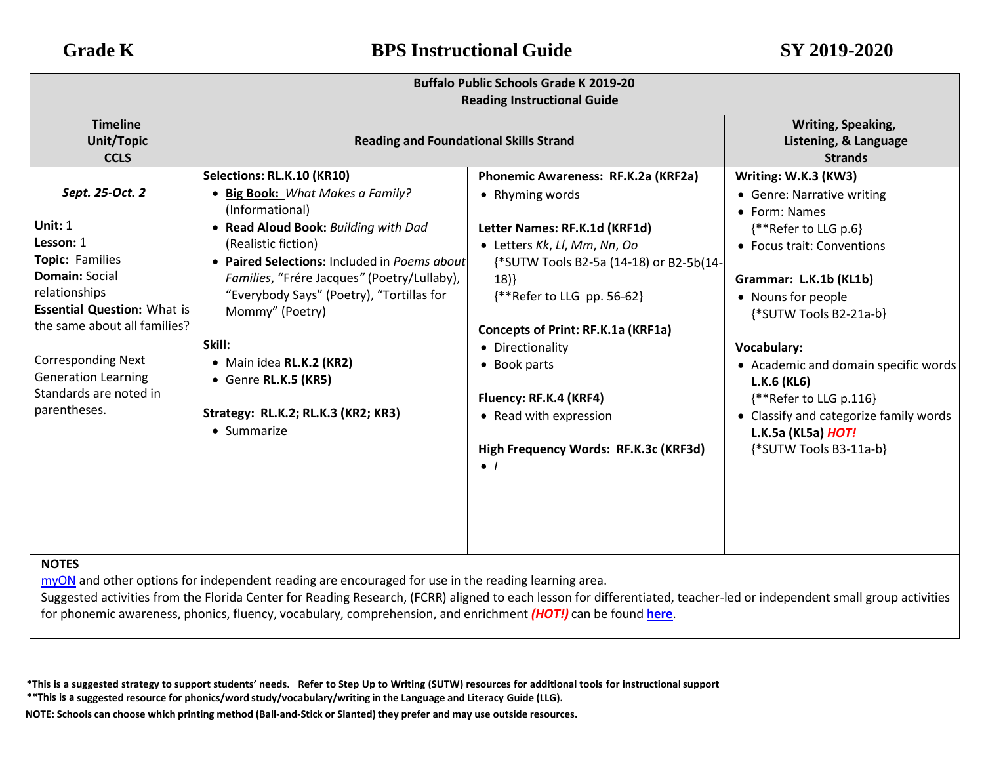| <b>Buffalo Public Schools Grade K 2019-20</b><br><b>Reading Instructional Guide</b>                                                                                                                                                                                               |                                                                                                                                                                                                                                                                                                                                                                                                                                   |                                                                                                                                                                                                                                                                                                                                                                                               |                                                                                                                                                                                                                                                                                                                                                                                                        |
|-----------------------------------------------------------------------------------------------------------------------------------------------------------------------------------------------------------------------------------------------------------------------------------|-----------------------------------------------------------------------------------------------------------------------------------------------------------------------------------------------------------------------------------------------------------------------------------------------------------------------------------------------------------------------------------------------------------------------------------|-----------------------------------------------------------------------------------------------------------------------------------------------------------------------------------------------------------------------------------------------------------------------------------------------------------------------------------------------------------------------------------------------|--------------------------------------------------------------------------------------------------------------------------------------------------------------------------------------------------------------------------------------------------------------------------------------------------------------------------------------------------------------------------------------------------------|
| <b>Timeline</b><br><b>Unit/Topic</b><br><b>CCLS</b>                                                                                                                                                                                                                               | <b>Reading and Foundational Skills Strand</b>                                                                                                                                                                                                                                                                                                                                                                                     |                                                                                                                                                                                                                                                                                                                                                                                               | Writing, Speaking,<br>Listening, & Language<br><b>Strands</b>                                                                                                                                                                                                                                                                                                                                          |
| Sept. 25-Oct. 2<br>Unit: $1$<br>Lesson: 1<br><b>Topic: Families</b><br>Domain: Social<br>relationships<br><b>Essential Question: What is</b><br>the same about all families?<br><b>Corresponding Next</b><br><b>Generation Learning</b><br>Standards are noted in<br>parentheses. | Selections: RL.K.10 (KR10)<br>• Big Book: What Makes a Family?<br>(Informational)<br>• Read Aloud Book: Building with Dad<br>(Realistic fiction)<br>Paired Selections: Included in Poems about<br>Families, "Frére Jacques" (Poetry/Lullaby),<br>"Everybody Says" (Poetry), "Tortillas for<br>Mommy" (Poetry)<br>Skill:<br>• Main idea RL.K.2 (KR2)<br>• Genre RL.K.5 (KR5)<br>Strategy: RL.K.2; RL.K.3 (KR2; KR3)<br>• Summarize | Phonemic Awareness: RF.K.2a (KRF2a)<br>• Rhyming words<br>Letter Names: RF.K.1d (KRF1d)<br>• Letters Kk, Ll, Mm, Nn, Oo<br>{*SUTW Tools B2-5a (14-18) or B2-5b(14-<br>18)<br>{**Refer to LLG pp. 56-62}<br>Concepts of Print: RF.K.1a (KRF1a)<br>• Directionality<br>• Book parts<br>Fluency: RF.K.4 (KRF4)<br>• Read with expression<br>High Frequency Words: RF.K.3c (KRF3d)<br>$\bullet$ 1 | Writing: W.K.3 (KW3)<br>• Genre: Narrative writing<br>• Form: Names<br>{**Refer to LLG p.6}<br>• Focus trait: Conventions<br>Grammar: L.K.1b (KL1b)<br>• Nouns for people<br>{*SUTW Tools B2-21a-b}<br><b>Vocabulary:</b><br>• Academic and domain specific words<br>$L.K.6$ (KL6)<br>{**Refer to LLG p.116}<br>• Classify and categorize family words<br>L.K.5a (KL5a) HOT!<br>{*SUTW Tools B3-11a-b} |

[myON](https://www.myon.com/login/) and other options for independent reading are encouraged for use in the reading learning area.

Suggested activities from the Florida Center for Reading Research, (FCRR) aligned to each lesson for differentiated, teacher-led or independent small group activities for phonemic awareness, phonics, fluency, vocabulary, comprehension, and enrichment *(HOT!)* can be found **[here](https://www.buffaloschools.org/cms/lib/NY01913551/Centricity/Domain/70/Kinder_Enrichment_Activities_Aligned_to_HMH_Journeys_lessons_from_FCRR_9-6.pdf)**[.](http://www.buffaloschools.org/files/129058/Kinder_Activities_Aligned_to_HMH_Journeys_lessons_from_FCRR.pdf)

\*This is a suggested strategy to support students' needs. Refer to Step Up to Writing (SUTW) resources for additional tools for instructional support

**\*\*This is a suggested resource for phonics/word study/vocabulary/writing in the Language and Literacy Guide (LLG).**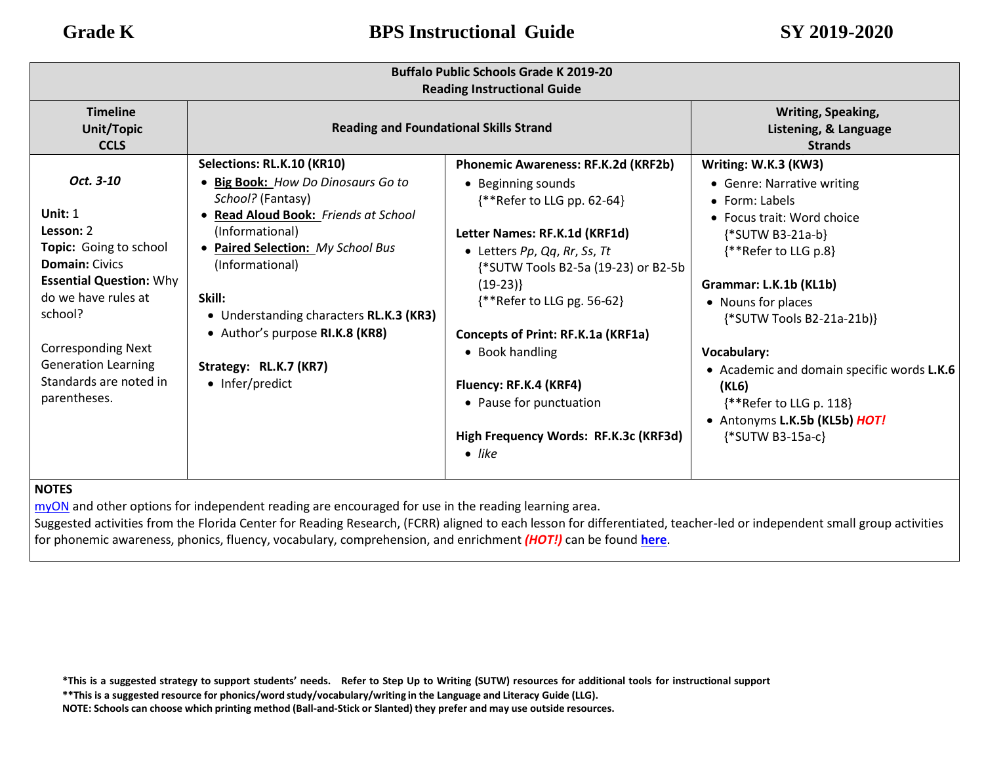| <b>Buffalo Public Schools Grade K 2019-20</b><br><b>Reading Instructional Guide</b>                                                                                                                                                                             |                                                                                                                                                                                                                                                                                                                                           |                                                                                                                                                                                                                                                                                                                                                                                                                         |                                                                                                                                                                                                                                                                                                                                                                                                      |  |
|-----------------------------------------------------------------------------------------------------------------------------------------------------------------------------------------------------------------------------------------------------------------|-------------------------------------------------------------------------------------------------------------------------------------------------------------------------------------------------------------------------------------------------------------------------------------------------------------------------------------------|-------------------------------------------------------------------------------------------------------------------------------------------------------------------------------------------------------------------------------------------------------------------------------------------------------------------------------------------------------------------------------------------------------------------------|------------------------------------------------------------------------------------------------------------------------------------------------------------------------------------------------------------------------------------------------------------------------------------------------------------------------------------------------------------------------------------------------------|--|
| <b>Timeline</b><br><b>Unit/Topic</b><br><b>CCLS</b>                                                                                                                                                                                                             | <b>Reading and Foundational Skills Strand</b>                                                                                                                                                                                                                                                                                             |                                                                                                                                                                                                                                                                                                                                                                                                                         | Writing, Speaking,<br>Listening, & Language<br><b>Strands</b>                                                                                                                                                                                                                                                                                                                                        |  |
| Oct. 3-10<br>Unit: $1$<br>Lesson: 2<br>Topic: Going to school<br><b>Domain: Civics</b><br><b>Essential Question: Why</b><br>do we have rules at<br>school?<br><b>Corresponding Next</b><br><b>Generation Learning</b><br>Standards are noted in<br>parentheses. | Selections: RL.K.10 (KR10)<br>· Big Book: How Do Dinosaurs Go to<br>School? (Fantasy)<br>Read Aloud Book: Friends at School<br>(Informational)<br>Paired Selection: My School Bus<br>(Informational)<br>Skill:<br>• Understanding characters RL.K.3 (KR3)<br>• Author's purpose RI.K.8 (KR8)<br>Strategy: RL.K.7 (KR7)<br>• Infer/predict | Phonemic Awareness: RF.K.2d (KRF2b)<br>• Beginning sounds<br>$**$ Refer to LLG pp. 62-64}<br>Letter Names: RF.K.1d (KRF1d)<br>• Letters Pp, Qq, Rr, Ss, Tt<br>{*SUTW Tools B2-5a (19-23) or B2-5b<br>$(19-23)$<br>$**$ Refer to LLG pg. 56-62}<br>Concepts of Print: RF.K.1a (KRF1a)<br>• Book handling<br>Fluency: RF.K.4 (KRF4)<br>• Pause for punctuation<br>High Frequency Words: RF.K.3c (KRF3d)<br>$\bullet$ like | Writing: W.K.3 (KW3)<br>• Genre: Narrative writing<br>$\bullet$ Form: Labels<br>• Focus trait: Word choice<br>$\{\text{*SUTW B3-21a-b}\}$<br>{**Refer to LLG p.8}<br>Grammar: L.K.1b (KL1b)<br>• Nouns for places<br>{*SUTW Tools B2-21a-21b)}<br>Vocabulary:<br>• Academic and domain specific words L.K.6<br>(KL6)<br>{**Refer to LLG p. 118}<br>• Antonyms L.K.5b (KL5b) HOT!<br>{*SUTW B3-15a-c} |  |

[myON](https://www.myon.com/login/) and other options for independent reading are encouraged for use in the reading learning area.

Suggested activities from the Florida Center for Reading Research, (FCRR) aligned to each lesson for differentiated, teacher-led or independent small group activities for phonemic awareness, phonics, fluency, vocabulary, comprehension, and enrichment *(HOT!)* can be found **[here](https://www.buffaloschools.org/cms/lib/NY01913551/Centricity/Domain/70/Kinder_Enrichment_Activities_Aligned_to_HMH_Journeys_lessons_from_FCRR_9-6.pdf)**[.](http://www.buffaloschools.org/files/129058/Kinder_Activities_Aligned_to_HMH_Journeys_lessons_from_FCRR.pdf)

**\*\*This is a suggested resource for phonics/word study/vocabulary/writing in the Language and Literacy Guide (LLG).**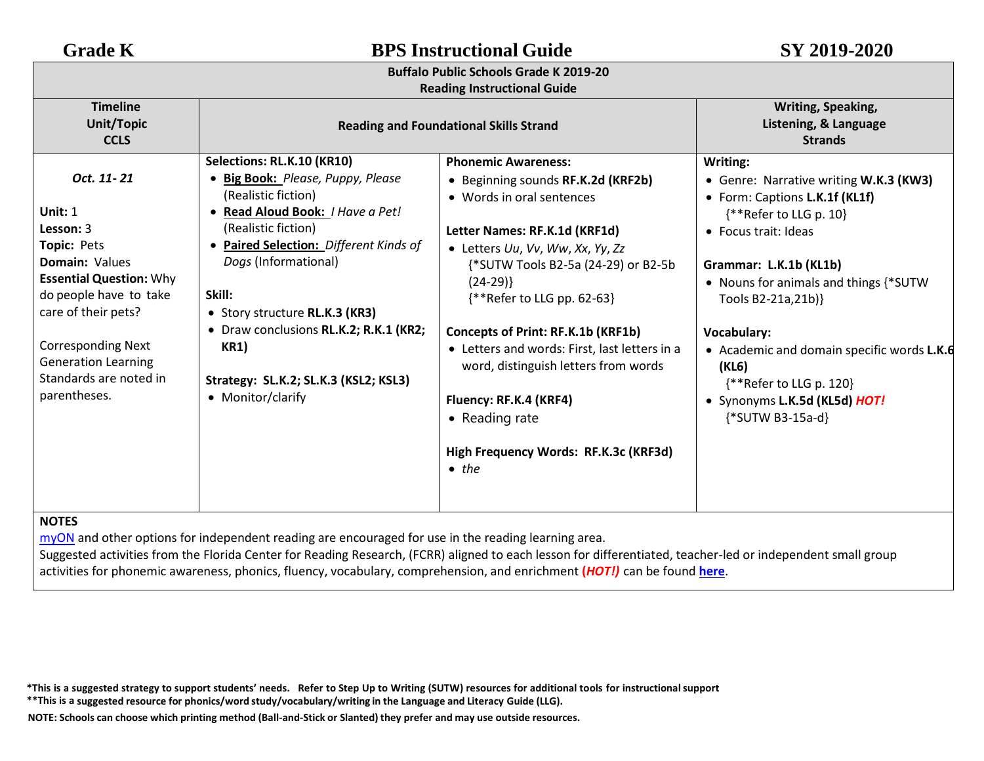## **Buffalo Public Schools Grade K 2019-20**

## **Reading Instructional Guide**

| <b>Timeline</b><br>Unit/Topic<br><b>CCLS</b>                                                                                                                                                                                                                              | <b>Reading and Foundational Skills Strand</b>                                                                                                                                                                                                                                                                                                                                                   |                                                                                                                                                                                                                                                                                                                                                                                                                                                                                           | Writing, Speaking,<br>Listening, & Language<br><b>Strands</b>                                                                                                                                                                                                                                                                                                                           |
|---------------------------------------------------------------------------------------------------------------------------------------------------------------------------------------------------------------------------------------------------------------------------|-------------------------------------------------------------------------------------------------------------------------------------------------------------------------------------------------------------------------------------------------------------------------------------------------------------------------------------------------------------------------------------------------|-------------------------------------------------------------------------------------------------------------------------------------------------------------------------------------------------------------------------------------------------------------------------------------------------------------------------------------------------------------------------------------------------------------------------------------------------------------------------------------------|-----------------------------------------------------------------------------------------------------------------------------------------------------------------------------------------------------------------------------------------------------------------------------------------------------------------------------------------------------------------------------------------|
| Oct. 11-21<br>Unit: 1<br>Lesson: 3<br><b>Topic: Pets</b><br><b>Domain: Values</b><br><b>Essential Question: Why</b><br>do people have to take<br>care of their pets?<br><b>Corresponding Next</b><br><b>Generation Learning</b><br>Standards are noted in<br>parentheses. | Selections: RL.K.10 (KR10)<br><b>Big Book:</b> Please, Puppy, Please<br>(Realistic fiction)<br>Read Aloud Book: I Have a Pet!<br>(Realistic fiction)<br><b>Paired Selection: Different Kinds of</b><br>Dogs (Informational)<br>Skill:<br>• Story structure RL.K.3 (KR3)<br>• Draw conclusions RL.K.2; R.K.1 (KR2;<br><b>KR1</b> )<br>Strategy: SL.K.2; SL.K.3 (KSL2; KSL3)<br>• Monitor/clarify | <b>Phonemic Awareness:</b><br>• Beginning sounds RF.K.2d (KRF2b)<br>• Words in oral sentences<br>Letter Names: RF.K.1d (KRF1d)<br>• Letters Uu, Vv, Ww, Xx, Yy, Zz<br>{*SUTW Tools B2-5a (24-29) or B2-5b<br>$(24-29)$<br>{**Refer to LLG pp. 62-63}<br>Concepts of Print: RF.K.1b (KRF1b)<br>• Letters and words: First, last letters in a<br>word, distinguish letters from words<br>Fluency: RF.K.4 (KRF4)<br>• Reading rate<br>High Frequency Words: RF.K.3c (KRF3d)<br>$\bullet$ the | Writing:<br>• Genre: Narrative writing W.K.3 (KW3)<br>• Form: Captions L.K.1f (KL1f)<br>{**Refer to LLG p. 10}<br>• Focus trait: Ideas<br>Grammar: L.K.1b (KL1b)<br>• Nouns for animals and things {*SUTW<br>Tools B2-21a,21b)}<br>Vocabulary:<br>• Academic and domain specific words L.K.6<br>(KL6)<br>$**$ Refer to LLG p. 120}<br>• Synonyms L.K.5d (KL5d) HOT!<br>{*SUTW B3-15a-d} |

## **NOTES**

[myON](https://www.myon.com/login/) and other options for independent reading are encouraged for use in the reading learning area.

Suggested activities from the Florida Center for Reading Research, (FCRR) aligned to each lesson for differentiated, teacher-led or independent small group activities for phonemic awareness, phonics, fluency, vocabulary, comprehension, and enrichment **(***HOT!)* can be found **[here](https://www.buffaloschools.org/cms/lib/NY01913551/Centricity/Domain/70/Kinder_Enrichment_Activities_Aligned_to_HMH_Journeys_lessons_from_FCRR_1.pdf)**[.](http://www.buffaloschools.org/files/129058/Kinder_Activities_Aligned_to_HMH_Journeys_lessons_from_FCRR.pdf)

\*This is a suggested strategy to support students' needs. Refer to Step Up to Writing (SUTW) resources for additional tools for instructional support

**\*\*This is a suggested resource for phonics/word study/vocabulary/writing in the Language and Literacy Guide (LLG).**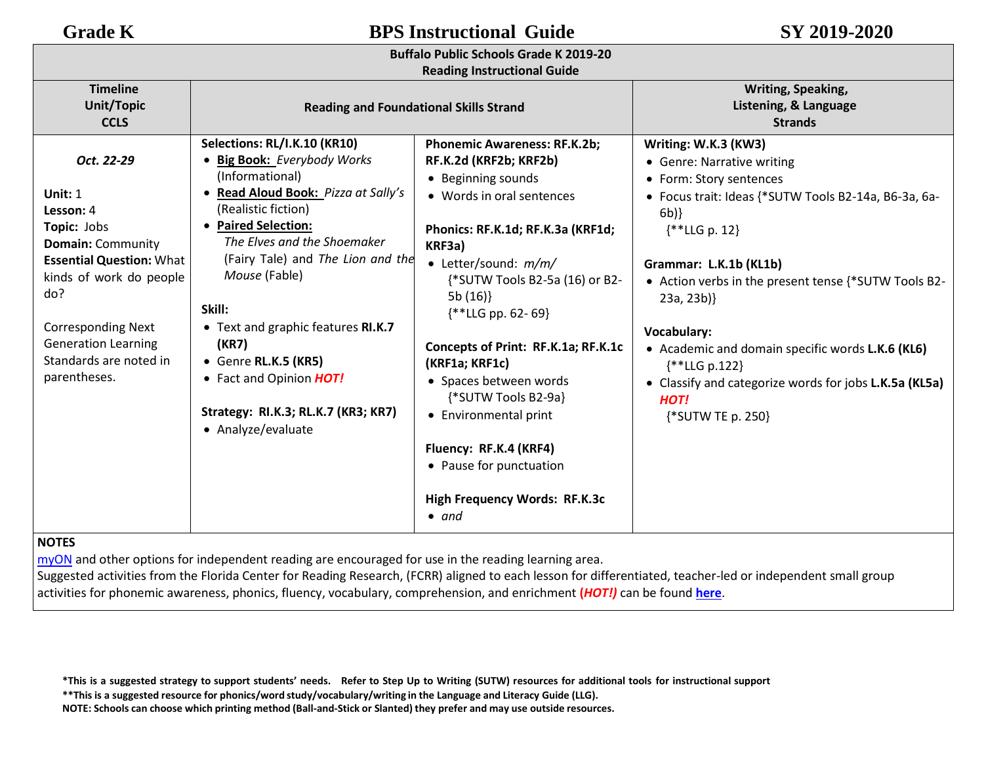**Buffalo Public Schools Grade K 2019-20**

| <b>Reading Instructional Guide</b>                                                                                                                                                                                                                        |                                                                                                                                                                                                                                                                                                                                                                                                                                   |                                                                                                                                                                                                                                                                                                                                                                                                                                                                                                              |                                                                                                                                                                                                                                                                                                                                                                                                                                             |  |
|-----------------------------------------------------------------------------------------------------------------------------------------------------------------------------------------------------------------------------------------------------------|-----------------------------------------------------------------------------------------------------------------------------------------------------------------------------------------------------------------------------------------------------------------------------------------------------------------------------------------------------------------------------------------------------------------------------------|--------------------------------------------------------------------------------------------------------------------------------------------------------------------------------------------------------------------------------------------------------------------------------------------------------------------------------------------------------------------------------------------------------------------------------------------------------------------------------------------------------------|---------------------------------------------------------------------------------------------------------------------------------------------------------------------------------------------------------------------------------------------------------------------------------------------------------------------------------------------------------------------------------------------------------------------------------------------|--|
| <b>Timeline</b><br><b>Unit/Topic</b><br><b>CCLS</b>                                                                                                                                                                                                       | <b>Reading and Foundational Skills Strand</b>                                                                                                                                                                                                                                                                                                                                                                                     |                                                                                                                                                                                                                                                                                                                                                                                                                                                                                                              | Writing, Speaking,<br>Listening, & Language<br><b>Strands</b>                                                                                                                                                                                                                                                                                                                                                                               |  |
| Oct. 22-29<br>Unit: $1$<br>Lesson: 4<br>Topic: Jobs<br><b>Domain: Community</b><br><b>Essential Question: What</b><br>kinds of work do people<br>do?<br><b>Corresponding Next</b><br><b>Generation Learning</b><br>Standards are noted in<br>parentheses. | Selections: RL/I.K.10 (KR10)<br>• Big Book: Everybody Works<br>(Informational)<br>• Read Aloud Book: Pizza at Sally's<br>(Realistic fiction)<br>• Paired Selection:<br>The Elves and the Shoemaker<br>(Fairy Tale) and The Lion and the<br>Mouse (Fable)<br>Skill:<br>• Text and graphic features RI.K.7<br>(KR7)<br>• Genre RL.K.5 (KR5)<br>• Fact and Opinion HOT!<br>Strategy: RI.K.3; RL.K.7 (KR3; KR7)<br>• Analyze/evaluate | <b>Phonemic Awareness: RF.K.2b;</b><br>RF.K.2d (KRF2b; KRF2b)<br>• Beginning sounds<br>• Words in oral sentences<br>Phonics: RF.K.1d; RF.K.3a (KRF1d;<br>KRF3a)<br>• Letter/sound: $m/m/$<br>{*SUTW Tools B2-5a (16) or B2-<br>5b(16)<br>$*$ LLG pp. 62-69}<br>Concepts of Print: RF.K.1a; RF.K.1c<br>(KRF1a; KRF1c)<br>• Spaces between words<br>{*SUTW Tools B2-9a}<br>• Environmental print<br>Fluency: RF.K.4 (KRF4)<br>• Pause for punctuation<br><b>High Frequency Words: RF.K.3c</b><br>$\bullet$ and | Writing: W.K.3 (KW3)<br>• Genre: Narrative writing<br>• Form: Story sentences<br>• Focus trait: Ideas {*SUTW Tools B2-14a, B6-3a, 6a-<br>6b)<br>$\{$ * LLG p. 12}<br>Grammar: L.K.1b (KL1b)<br>• Action verbs in the present tense {*SUTW Tools B2-<br>23a, 23b)<br>Vocabulary:<br>• Academic and domain specific words L.K.6 (KL6)<br>{**LLG p.122}<br>• Classify and categorize words for jobs L.K.5a (KL5a)<br>HOT!<br>{*SUTW TE p. 250} |  |

## **NOTES**

[myON](https://www.myon.com/login/) and other options for independent reading are encouraged for use in the reading learning area.

Suggested activities from the Florida Center for Reading Research, (FCRR) aligned to each lesson for differentiated, teacher-led or independent small group activities for phonemic awareness, phonics, fluency, vocabulary, comprehension, and enrichment **(***HOT!)* can be found **[here](https://www.buffaloschools.org/cms/lib/NY01913551/Centricity/Domain/70/Kinder_Enrichment_Activities_Aligned_to_HMH_Journeys_lessons_from_FCRR_9-6.pdf)**.

\*This is a suggested strategy to support students' needs. Refer to Step Up to Writing (SUTW) resources for additional tools for instructional support

**\*\*This is a suggested resource for phonics/word study/vocabulary/writing in the Language and Literacy Guide (LLG).**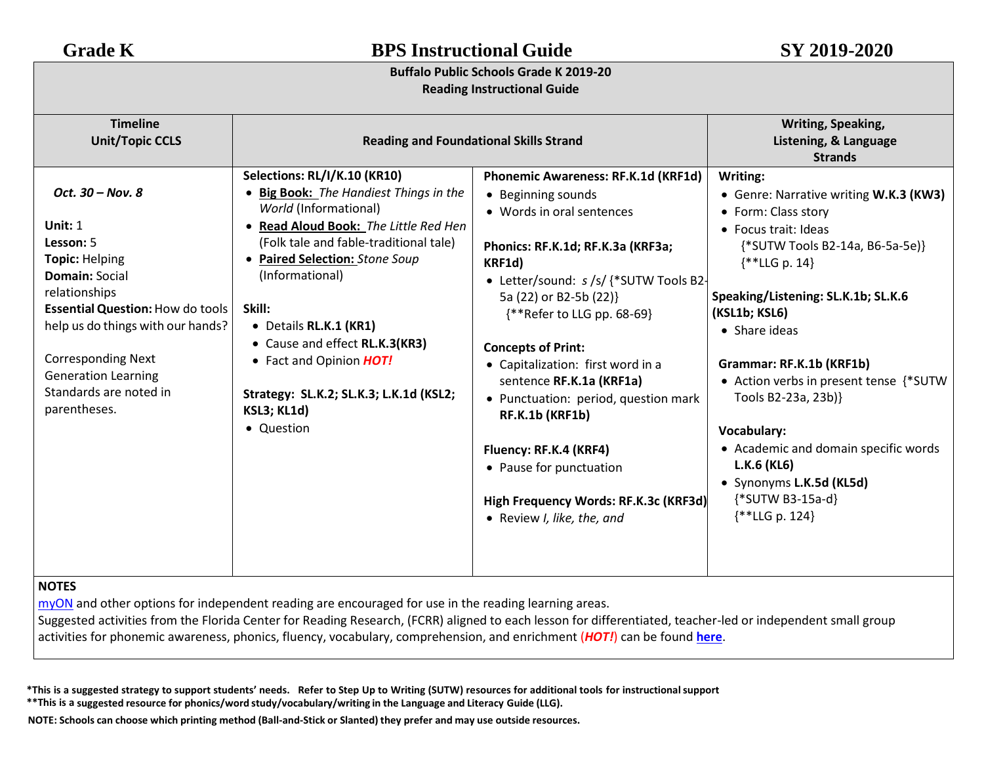## **Buffalo Public Schools Grade K 2019-20 Reading Instructional Guide**

| <b>Timeline</b><br><b>Unit/Topic CCLS</b>                                                                                                                                                                                                                                                          | <b>Reading and Foundational Skills Strand</b>                                                                                                                                                                                                                                                                                                                                                                           |                                                                                                                                                                                                                                                                                                                                                                                                                                                                                                                              | Writing, Speaking,<br>Listening, & Language                                                                                                                                                                                                                                                                                                                                                                                                                                            |
|----------------------------------------------------------------------------------------------------------------------------------------------------------------------------------------------------------------------------------------------------------------------------------------------------|-------------------------------------------------------------------------------------------------------------------------------------------------------------------------------------------------------------------------------------------------------------------------------------------------------------------------------------------------------------------------------------------------------------------------|------------------------------------------------------------------------------------------------------------------------------------------------------------------------------------------------------------------------------------------------------------------------------------------------------------------------------------------------------------------------------------------------------------------------------------------------------------------------------------------------------------------------------|----------------------------------------------------------------------------------------------------------------------------------------------------------------------------------------------------------------------------------------------------------------------------------------------------------------------------------------------------------------------------------------------------------------------------------------------------------------------------------------|
|                                                                                                                                                                                                                                                                                                    |                                                                                                                                                                                                                                                                                                                                                                                                                         |                                                                                                                                                                                                                                                                                                                                                                                                                                                                                                                              | <b>Strands</b>                                                                                                                                                                                                                                                                                                                                                                                                                                                                         |
| Oct. 30 - Nov. 8<br>Unit: $1$<br>Lesson: 5<br><b>Topic: Helping</b><br><b>Domain: Social</b><br>relationships<br><b>Essential Question: How do tools</b><br>help us do things with our hands?<br><b>Corresponding Next</b><br><b>Generation Learning</b><br>Standards are noted in<br>parentheses. | Selections: RL/I/K.10 (KR10)<br>• Big Book: The Handiest Things in the<br>World (Informational)<br>• Read Aloud Book: The Little Red Hen<br>(Folk tale and fable-traditional tale)<br>• Paired Selection: Stone Soup<br>(Informational)<br>Skill:<br>• Details RL.K.1 (KR1)<br>• Cause and effect RL.K.3(KR3)<br>• Fact and Opinion HOT!<br>Strategy: SL.K.2; SL.K.3; L.K.1d (KSL2;<br><b>KSL3; KL1d)</b><br>• Question | Phonemic Awareness: RF.K.1d (KRF1d)<br>• Beginning sounds<br>• Words in oral sentences<br>Phonics: RF.K.1d; RF.K.3a (KRF3a;<br>KRF1d)<br>• Letter/sound: s /s/ {*SUTW Tools B2-<br>5a (22) or B2-5b (22)}<br>{**Refer to LLG pp. 68-69}<br><b>Concepts of Print:</b><br>• Capitalization: first word in a<br>sentence RF.K.1a (KRF1a)<br>• Punctuation: period, question mark<br>RF.K.1b (KRF1b)<br>Fluency: RF.K.4 (KRF4)<br>• Pause for punctuation<br>High Frequency Words: RF.K.3c (KRF3d)<br>• Review I, like, the, and | Writing:<br>• Genre: Narrative writing W.K.3 (KW3)<br>• Form: Class story<br>• Focus trait: Ideas<br>{*SUTW Tools B2-14a, B6-5a-5e}}<br>$\{$ * <b>LLG</b> p. 14}<br>Speaking/Listening: SL.K.1b; SL.K.6<br>(KSL1b; KSL6)<br>• Share ideas<br>Grammar: RF.K.1b (KRF1b)<br>• Action verbs in present tense {*SUTW<br>Tools B2-23a, 23b)}<br><b>Vocabulary:</b><br>• Academic and domain specific words<br>L.K.6 (KL6)<br>• Synonyms L.K.5d (KL5d)<br>{*SUTW B3-15a-d}<br>$*$ LLG p. 124} |
| <b>NOTES</b>                                                                                                                                                                                                                                                                                       |                                                                                                                                                                                                                                                                                                                                                                                                                         |                                                                                                                                                                                                                                                                                                                                                                                                                                                                                                                              |                                                                                                                                                                                                                                                                                                                                                                                                                                                                                        |

[myON](https://www.myon.com/login/) and other options for independent reading are encouraged for use in the reading learning areas.

Suggested activities from the Florida Center for Reading Research, (FCRR) aligned to each lesson for differentiated, teacher-led or independent small group activities for phonemic awareness, phonics, fluency, vocabulary, comprehension, and enrichment (*HOT!*) can be found **[here](https://www.buffaloschools.org/cms/lib/NY01913551/Centricity/Domain/70/Kinder_Enrichment_Activities_Aligned_to_HMH_Journeys_lessons_from_FCRR_9-6.pdf)**[.](http://www.buffaloschools.org/files/129058/Kinder_Activities_Aligned_to_HMH_Journeys_lessons_from_FCRR.pdf)

\*This is a suggested strategy to support students' needs. Refer to Step Up to Writing (SUTW) resources for additional tools for instructional support **\*\*This is a suggested resource for phonics/word study/vocabulary/writing in the Language and Literacy Guide (LLG).**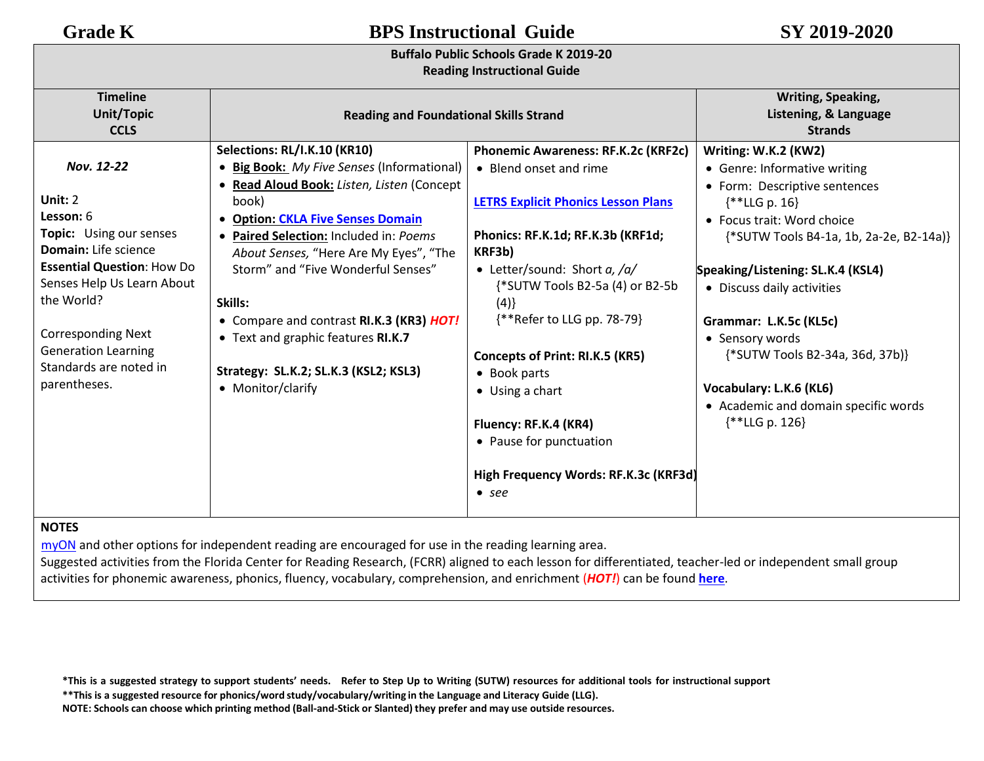**Buffalo Public Schools Grade K 2019-20**

| <u>DUITAIU FUDIIL SCHOOB GIAUE N ZUIS-ZU</u><br><b>Reading Instructional Guide</b>                                                                                                                                                                                                 |                                                                                                                                                                                                                                                                                                                                                                                                                                                                             |                                                                                                                                                                                                                                                                                                                                                                                                                                                                         |                                                                                                                                                                                                                                                                                                                                                                                                                          |
|------------------------------------------------------------------------------------------------------------------------------------------------------------------------------------------------------------------------------------------------------------------------------------|-----------------------------------------------------------------------------------------------------------------------------------------------------------------------------------------------------------------------------------------------------------------------------------------------------------------------------------------------------------------------------------------------------------------------------------------------------------------------------|-------------------------------------------------------------------------------------------------------------------------------------------------------------------------------------------------------------------------------------------------------------------------------------------------------------------------------------------------------------------------------------------------------------------------------------------------------------------------|--------------------------------------------------------------------------------------------------------------------------------------------------------------------------------------------------------------------------------------------------------------------------------------------------------------------------------------------------------------------------------------------------------------------------|
| <b>Timeline</b><br><b>Unit/Topic</b><br><b>CCLS</b>                                                                                                                                                                                                                                | <b>Reading and Foundational Skills Strand</b>                                                                                                                                                                                                                                                                                                                                                                                                                               |                                                                                                                                                                                                                                                                                                                                                                                                                                                                         | <b>Writing, Speaking,</b><br>Listening, & Language<br><b>Strands</b>                                                                                                                                                                                                                                                                                                                                                     |
| Nov. 12-22<br>Unit: 2<br>Lesson: 6<br>Topic: Using our senses<br><b>Domain:</b> Life science<br><b>Essential Question: How Do</b><br>Senses Help Us Learn About<br>the World?<br><b>Corresponding Next</b><br><b>Generation Learning</b><br>Standards are noted in<br>parentheses. | Selections: RL/I.K.10 (KR10)<br>• Big Book: My Five Senses (Informational)<br>· Read Aloud Book: Listen, Listen (Concept<br>book)<br><b>Option: CKLA Five Senses Domain</b><br>$\bullet$<br>Paired Selection: Included in: Poems<br>About Senses, "Here Are My Eyes", "The<br>Storm" and "Five Wonderful Senses"<br>Skills:<br>• Compare and contrast RI.K.3 (KR3) HOT!<br>• Text and graphic features RI.K.7<br>Strategy: SL.K.2; SL.K.3 (KSL2; KSL3)<br>• Monitor/clarify | <b>Phonemic Awareness: RF.K.2c (KRF2c)</b><br>• Blend onset and rime<br><b>LETRS Explicit Phonics Lesson Plans</b><br>Phonics: RF.K.1d; RF.K.3b (KRF1d;<br>KRF3b)<br>• Letter/sound: Short $a$ , /a/<br>{*SUTW Tools B2-5a (4) or B2-5b<br>(4)<br>{**Refer to LLG pp. 78-79}<br><b>Concepts of Print: RI.K.5 (KR5)</b><br>• Book parts<br>$\bullet$ Using a chart<br>Fluency: RF.K.4 (KR4)<br>• Pause for punctuation<br>High Frequency Words: RF.K.3c (KRF3d)<br>• see | Writing: W.K.2 (KW2)<br>• Genre: Informative writing<br>• Form: Descriptive sentences<br>$*$ LLG p. 16}<br>• Focus trait: Word choice<br>{*SUTW Tools B4-1a, 1b, 2a-2e, B2-14a)}<br>Speaking/Listening: SL.K.4 (KSL4)<br>• Discuss daily activities<br>Grammar: L.K.5c (KL5c)<br>• Sensory words<br>{*SUTW Tools B2-34a, 36d, 37b)}<br>Vocabulary: L.K.6 (KL6)<br>• Academic and domain specific words<br>$**LLG p. 126$ |

## **NOTES**

[myON](https://www.myon.com/login/) and other options for independent reading are encouraged for use in the reading learning area.

Suggested activities from the Florida Center for Reading Research, (FCRR) aligned to each lesson for differentiated, teacher-led or independent small group activities for phonemic awareness, phonics, fluency, vocabulary, comprehension, and enrichment (*HOT!*) can be found **[here](https://www.buffaloschools.org/cms/lib/NY01913551/Centricity/Domain/70/Kinder_Enrichment_Activities_Aligned_to_HMH_Journeys_lessons_from_FCRR_9-6.pdf)**[.](http://www.buffaloschools.org/files/129058/Kinder_Activities_Aligned_to_HMH_Journeys_lessons_from_FCRR.pdf)

\*This is a suggested strategy to support students' needs. Refer to Step Up to Writing (SUTW) resources for additional tools for instructional support **\*\*This is a suggested resource for phonics/word study/vocabulary/writing in the Language and Literacy Guide (LLG).**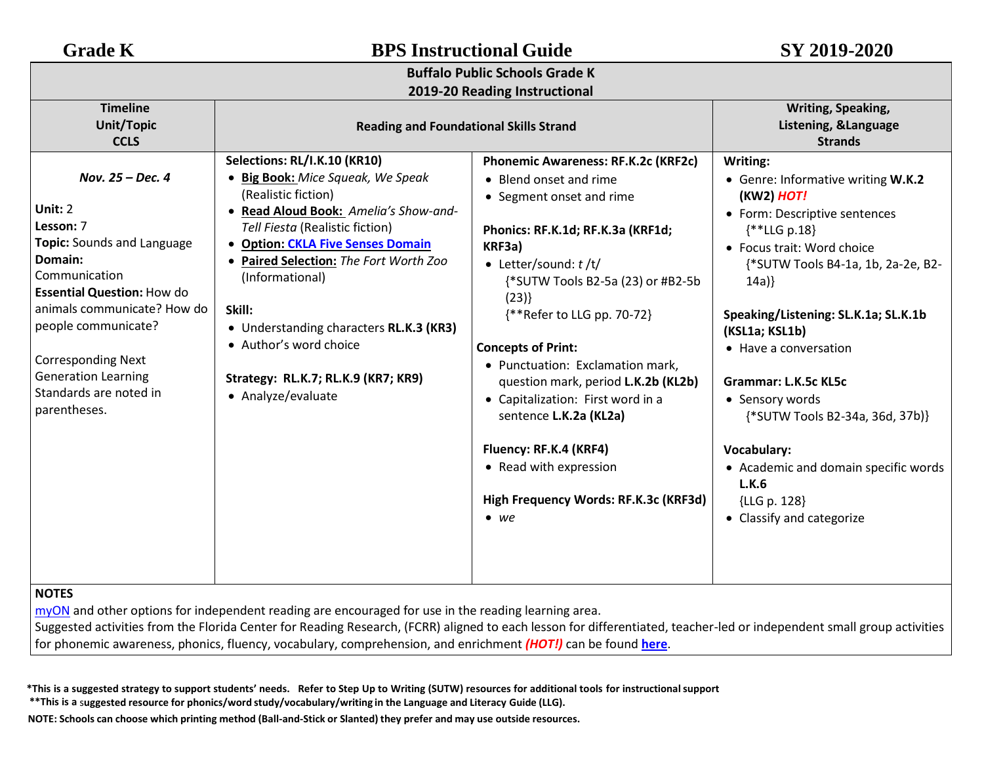| <b>Grade K</b>                                                                                                                                                                                                                                                                                     | <b>BPS Instructional Guide</b>                                                                                                                                                                                                                                                                                                                                                                                   |                                                                                                                                                                                                                                                                                                                                                                                                                                                                                                                                   | SY 2019-2020                                                                                                                                                                                                                                                                                                                                                                                                                                                                       |  |
|----------------------------------------------------------------------------------------------------------------------------------------------------------------------------------------------------------------------------------------------------------------------------------------------------|------------------------------------------------------------------------------------------------------------------------------------------------------------------------------------------------------------------------------------------------------------------------------------------------------------------------------------------------------------------------------------------------------------------|-----------------------------------------------------------------------------------------------------------------------------------------------------------------------------------------------------------------------------------------------------------------------------------------------------------------------------------------------------------------------------------------------------------------------------------------------------------------------------------------------------------------------------------|------------------------------------------------------------------------------------------------------------------------------------------------------------------------------------------------------------------------------------------------------------------------------------------------------------------------------------------------------------------------------------------------------------------------------------------------------------------------------------|--|
|                                                                                                                                                                                                                                                                                                    |                                                                                                                                                                                                                                                                                                                                                                                                                  | <b>Buffalo Public Schools Grade K</b>                                                                                                                                                                                                                                                                                                                                                                                                                                                                                             |                                                                                                                                                                                                                                                                                                                                                                                                                                                                                    |  |
| <b>Timeline</b><br>Unit/Topic<br><b>CCLS</b>                                                                                                                                                                                                                                                       | 2019-20 Reading Instructional<br><b>Reading and Foundational Skills Strand</b>                                                                                                                                                                                                                                                                                                                                   |                                                                                                                                                                                                                                                                                                                                                                                                                                                                                                                                   | Writing, Speaking,<br>Listening, &Language<br><b>Strands</b>                                                                                                                                                                                                                                                                                                                                                                                                                       |  |
| Nov. 25 - Dec. 4<br>Unit: 2<br>Lesson: 7<br>Topic: Sounds and Language<br>Domain:<br>Communication<br><b>Essential Question: How do</b><br>animals communicate? How do<br>people communicate?<br><b>Corresponding Next</b><br><b>Generation Learning</b><br>Standards are noted in<br>parentheses. | Selections: RL/I.K.10 (KR10)<br>• Big Book: Mice Squeak, We Speak<br>(Realistic fiction)<br>• Read Aloud Book: Amelia's Show-and-<br>Tell Fiesta (Realistic fiction)<br>• Option: CKLA Five Senses Domain<br>Paired Selection: The Fort Worth Zoo<br>(Informational)<br>Skill:<br>• Understanding characters RL.K.3 (KR3)<br>• Author's word choice<br>Strategy: RL.K.7; RL.K.9 (KR7; KR9)<br>• Analyze/evaluate | Phonemic Awareness: RF.K.2c (KRF2c)<br>• Blend onset and rime<br>• Segment onset and rime<br>Phonics: RF.K.1d; RF.K.3a (KRF1d;<br>KRF3a)<br>• Letter/sound: $t/t/$<br>{*SUTW Tools B2-5a (23) or #B2-5b<br>(23)<br>{**Refer to LLG pp. 70-72}<br><b>Concepts of Print:</b><br>• Punctuation: Exclamation mark,<br>question mark, period L.K.2b (KL2b)<br>• Capitalization: First word in a<br>sentence L.K.2a (KL2a)<br>Fluency: RF.K.4 (KRF4)<br>• Read with expression<br>High Frequency Words: RF.K.3c (KRF3d)<br>$\bullet$ we | Writing:<br>• Genre: Informative writing W.K.2<br>(KW2) HOT!<br>• Form: Descriptive sentences<br>$\{$ * LLG p.18}<br>• Focus trait: Word choice<br>{*SUTW Tools B4-1a, 1b, 2a-2e, B2-<br>14a)<br>Speaking/Listening: SL.K.1a; SL.K.1b<br>(KSL1a; KSL1b)<br>• Have a conversation<br><b>Grammar: L.K.5c KL5c</b><br>• Sensory words<br>{*SUTW Tools B2-34a, 36d, 37b)}<br>Vocabulary:<br>• Academic and domain specific words<br>L.K.6<br>{LLG p. 128}<br>• Classify and categorize |  |

Suggested activities from the Florida Center for Reading Research, (FCRR) aligned to each lesson for differentiated, teacher-led or independent small group activities for phonemic awareness, phonics, fluency, vocabulary, comprehension, and enrichment *(HOT!)* can be found **[here](https://www.buffaloschools.org/cms/lib/NY01913551/Centricity/Domain/70/Kinder_Enrichment_Activities_Aligned_to_HMH_Journeys_lessons_from_FCRR_9-6.pdf)**[.](http://www.buffaloschools.org/files/129058/Kinder_Activities_Aligned_to_HMH_Journeys_lessons_from_FCRR.pdf)

\*This is a suggested strategy to support students' needs. Refer to Step Up to Writing (SUTW) resources for additional tools for instructional support

**\*\*This is a** s**uggested resource for phonics/word study/vocabulary/writing in the Language and Literacy Guide (LLG).**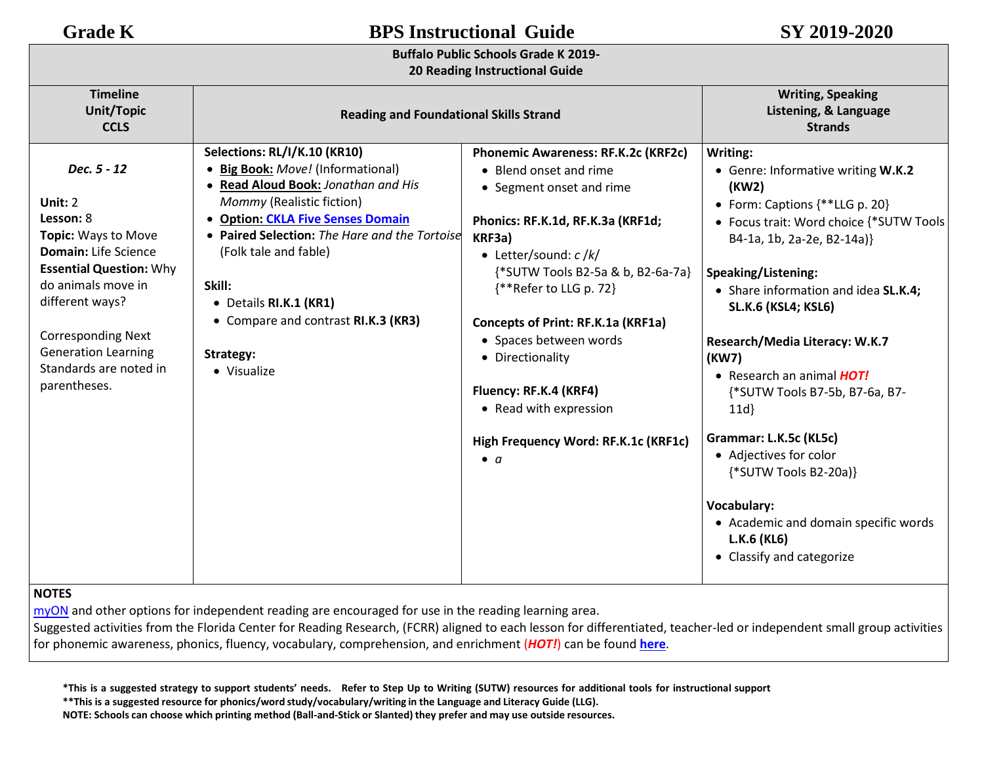## **Buffalo Public Schools Grade K 2019-**

### **20 Reading Instructional Guide**

| <b>Timeline</b><br><b>Unit/Topic</b><br><b>CCLS</b>                                                                                                                                                                                                                       | <b>Reading and Foundational Skills Strand</b>                                                                                                                                                                                                                                                                                                               |                                                                                                                                                                                                                                                                                                                                                                                                                                    | <b>Writing, Speaking</b><br>Listening, & Language<br><b>Strands</b>                                                                                                                                                                                                                                                                                                                                                                                                                                                                                                            |
|---------------------------------------------------------------------------------------------------------------------------------------------------------------------------------------------------------------------------------------------------------------------------|-------------------------------------------------------------------------------------------------------------------------------------------------------------------------------------------------------------------------------------------------------------------------------------------------------------------------------------------------------------|------------------------------------------------------------------------------------------------------------------------------------------------------------------------------------------------------------------------------------------------------------------------------------------------------------------------------------------------------------------------------------------------------------------------------------|--------------------------------------------------------------------------------------------------------------------------------------------------------------------------------------------------------------------------------------------------------------------------------------------------------------------------------------------------------------------------------------------------------------------------------------------------------------------------------------------------------------------------------------------------------------------------------|
| Dec. 5 - 12<br>Unit: 2<br>Lesson: 8<br>Topic: Ways to Move<br><b>Domain:</b> Life Science<br><b>Essential Question: Why</b><br>do animals move in<br>different ways?<br><b>Corresponding Next</b><br><b>Generation Learning</b><br>Standards are noted in<br>parentheses. | Selections: RL/I/K.10 (KR10)<br>• Big Book: Move! (Informational)<br>• Read Aloud Book: Jonathan and His<br>Mommy (Realistic fiction)<br>• Option: CKLA Five Senses Domain<br>• Paired Selection: The Hare and the Tortoise<br>(Folk tale and fable)<br>Skill:<br>• Details RI.K.1 (KR1)<br>• Compare and contrast RI.K.3 (KR3)<br>Strategy:<br>• Visualize | Phonemic Awareness: RF.K.2c (KRF2c)<br>• Blend onset and rime<br>• Segment onset and rime<br>Phonics: RF.K.1d, RF.K.3a (KRF1d;<br>KRF3a)<br>• Letter/sound: $c / k/$<br>{*SUTW Tools B2-5a & b, B2-6a-7a}<br>{**Refer to LLG p. 72}<br>Concepts of Print: RF.K.1a (KRF1a)<br>• Spaces between words<br>• Directionality<br>Fluency: RF.K.4 (KRF4)<br>• Read with expression<br>High Frequency Word: RF.K.1c (KRF1c)<br>$\bullet$ a | Writing:<br>• Genre: Informative writing W.K.2<br>(KW2)<br>• Form: Captions {**LLG p. 20}<br>• Focus trait: Word choice {*SUTW Tools<br>B4-1a, 1b, 2a-2e, B2-14a)}<br>Speaking/Listening:<br>• Share information and idea SL.K.4;<br><b>SL.K.6 (KSL4; KSL6)</b><br>Research/Media Literacy: W.K.7<br>(KW7)<br>• Research an animal <b>HOT!</b><br>{*SUTW Tools B7-5b, B7-6a, B7-<br>11d<br>Grammar: L.K.5c (KL5c)<br>• Adjectives for color<br>{*SUTW Tools B2-20a)}<br><b>Vocabulary:</b><br>• Academic and domain specific words<br>L.K.6 (KL6)<br>• Classify and categorize |

## **NOTES**

[myON](https://www.myon.com/login/) and other options for independent reading are encouraged for use in the reading learning area.

Suggested activities from the Florida Center for Reading Research, (FCRR) aligned to each lesson for differentiated, teacher-led or independent small group activities for phonemic awareness, phonics, fluency, vocabulary, comprehension, and enrichment (*HOT!*) can be found **[here](https://www.buffaloschools.org/cms/lib/NY01913551/Centricity/Domain/70/Kinder_Enrichment_Activities_Aligned_to_HMH_Journeys_lessons_from_FCRR_9-6.pdf)**.

\*This is a suggested strategy to support students' needs. Refer to Step Up to Writing (SUTW) resources for additional tools for instructional support

**\*\*This is a suggested resource for phonics/word study/vocabulary/writing in the Language and Literacy Guide (LLG).**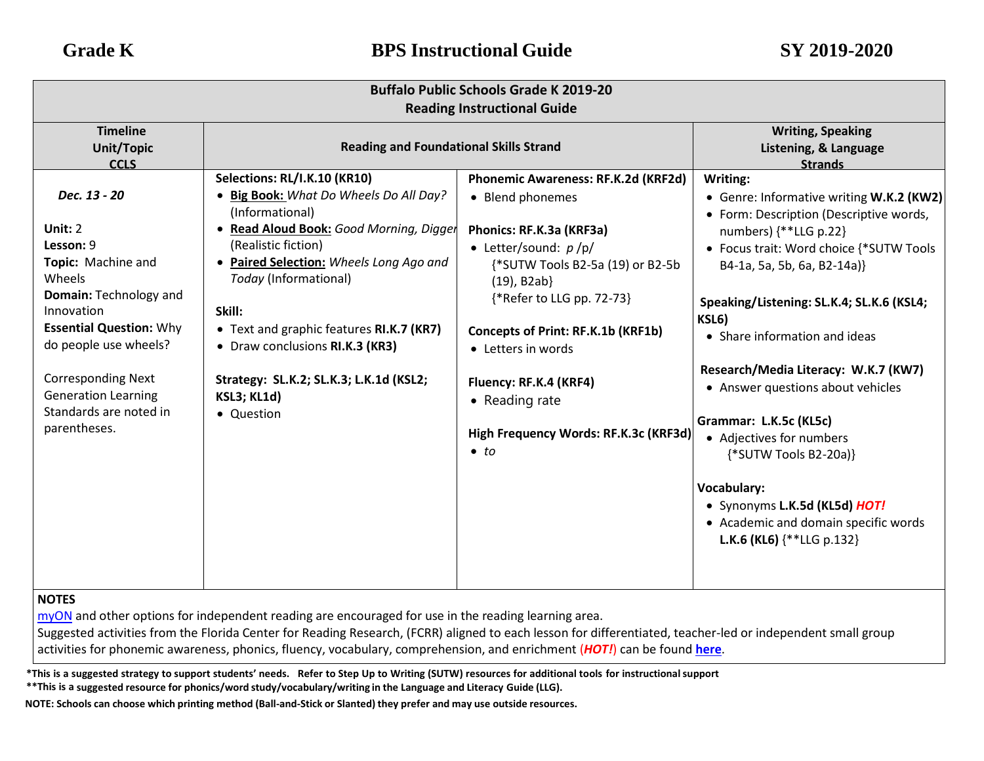| <b>Buffalo Public Schools Grade K 2019-20</b><br><b>Reading Instructional Guide</b>                                                                                                                                                                                                 |                                                                                                                                                                                                                                                                                                                                                                                                                               |                                                                                                                                                                                                                                                                                                                                                                           |                                                                                                                                                                                                                                                                                                                                                                                                                                                                                                                                                                                       |  |
|-------------------------------------------------------------------------------------------------------------------------------------------------------------------------------------------------------------------------------------------------------------------------------------|-------------------------------------------------------------------------------------------------------------------------------------------------------------------------------------------------------------------------------------------------------------------------------------------------------------------------------------------------------------------------------------------------------------------------------|---------------------------------------------------------------------------------------------------------------------------------------------------------------------------------------------------------------------------------------------------------------------------------------------------------------------------------------------------------------------------|---------------------------------------------------------------------------------------------------------------------------------------------------------------------------------------------------------------------------------------------------------------------------------------------------------------------------------------------------------------------------------------------------------------------------------------------------------------------------------------------------------------------------------------------------------------------------------------|--|
| <b>Timeline</b><br><b>Unit/Topic</b><br><b>CCLS</b>                                                                                                                                                                                                                                 | <b>Reading and Foundational Skills Strand</b>                                                                                                                                                                                                                                                                                                                                                                                 |                                                                                                                                                                                                                                                                                                                                                                           | <b>Writing, Speaking</b><br>Listening, & Language<br><b>Strands</b>                                                                                                                                                                                                                                                                                                                                                                                                                                                                                                                   |  |
| Dec. 13 - 20<br>Unit: 2<br>Lesson: 9<br>Topic: Machine and<br>Wheels<br><b>Domain: Technology and</b><br>Innovation<br><b>Essential Question: Why</b><br>do people use wheels?<br><b>Corresponding Next</b><br><b>Generation Learning</b><br>Standards are noted in<br>parentheses. | Selections: RL/I.K.10 (KR10)<br>Big Book: What Do Wheels Do All Day?<br>$\bullet$<br>(Informational)<br>Read Aloud Book: Good Morning, Digger<br>$\bullet$<br>(Realistic fiction)<br>• Paired Selection: Wheels Long Ago and<br>Today (Informational)<br>Skill:<br>• Text and graphic features RI.K.7 (KR7)<br>• Draw conclusions RI.K.3 (KR3)<br>Strategy: SL.K.2; SL.K.3; L.K.1d (KSL2;<br><b>KSL3; KL1d)</b><br>• Question | Phonemic Awareness: RF.K.2d (KRF2d)<br>• Blend phonemes<br>Phonics: RF.K.3a (KRF3a)<br>• Letter/sound: $p$ /p/<br>{*SUTW Tools B2-5a (19) or B2-5b<br>$(19)$ , B2ab}<br>{*Refer to LLG pp. 72-73}<br><b>Concepts of Print: RF.K.1b (KRF1b)</b><br>• Letters in words<br>Fluency: RF.K.4 (KRF4)<br>• Reading rate<br>High Frequency Words: RF.K.3c (KRF3d)<br>$\bullet$ to | Writing:<br>• Genre: Informative writing W.K.2 (KW2)<br>• Form: Description (Descriptive words,<br>numbers) {**LLG p.22}<br>• Focus trait: Word choice {*SUTW Tools<br>B4-1a, 5a, 5b, 6a, B2-14a)}<br>Speaking/Listening: SL.K.4; SL.K.6 (KSL4;<br>KSL6)<br>• Share information and ideas<br>Research/Media Literacy: W.K.7 (KW7)<br>• Answer questions about vehicles<br>Grammar: L.K.5c (KL5c)<br>• Adjectives for numbers<br>{*SUTW Tools B2-20a)}<br>Vocabulary:<br>• Synonyms L.K.5d (KL5d) HOT!<br>• Academic and domain specific words<br><b>L.K.6 (KL6)</b> $\{**$ LLG p.132} |  |

[myON](https://www.myon.com/login/) and other options for independent reading are encouraged for use in the reading learning area.

Suggested activities from the Florida Center for Reading Research, (FCRR) aligned to each lesson for differentiated, teacher-led or independent small group activities for phonemic awareness, phonics, fluency, vocabulary, comprehension, and enrichment (*HOT!*) can be found **[here](https://www.buffaloschools.org/cms/lib/NY01913551/Centricity/Domain/70/Kinder_Enrichment_Activities_Aligned_to_HMH_Journeys_lessons_from_FCRR_9-6.pdf)**.

\*This is a suggested strategy to support students' needs. Refer to Step Up to Writing (SUTW) resources for additional tools for instructional support

**\*\*This is a suggested resource for phonics/word study/vocabulary/writing in the Language and Literacy Guide (LLG).**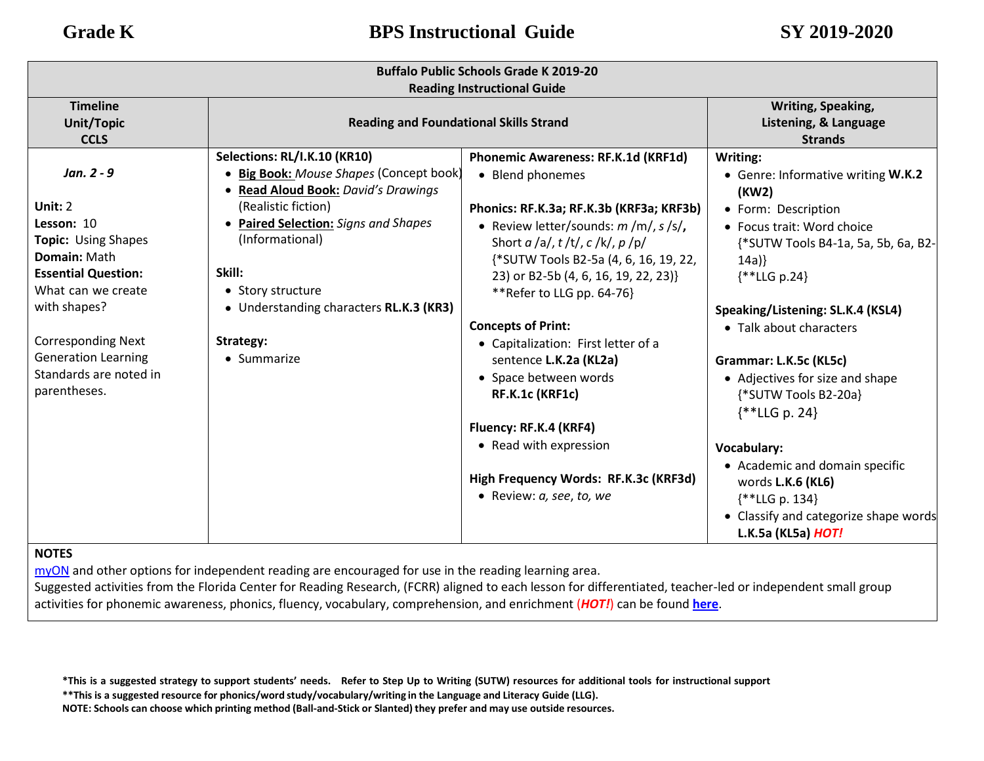| <b>Buffalo Public Schools Grade K 2019-20</b><br><b>Reading Instructional Guide</b>               |                                                                                                                                                                                                  |                                                                                                                                                                                             |                                                                                                                                                            |
|---------------------------------------------------------------------------------------------------|--------------------------------------------------------------------------------------------------------------------------------------------------------------------------------------------------|---------------------------------------------------------------------------------------------------------------------------------------------------------------------------------------------|------------------------------------------------------------------------------------------------------------------------------------------------------------|
| <b>Timeline</b><br><b>Unit/Topic</b><br><b>CCLS</b>                                               | <b>Reading and Foundational Skills Strand</b>                                                                                                                                                    |                                                                                                                                                                                             | <b>Writing, Speaking,</b><br>Listening, & Language<br><b>Strands</b>                                                                                       |
| Jan. 2 - 9<br>Unit: $2$<br>Lesson: 10<br><b>Topic: Using Shapes</b>                               | Selections: RL/I.K.10 (KR10)<br>· Big Book: Mouse Shapes (Concept book)<br>• Read Aloud Book: David's Drawings<br>(Realistic fiction)<br>• Paired Selection: Signs and Shapes<br>(Informational) | Phonemic Awareness: RF.K.1d (KRF1d)<br>• Blend phonemes<br>Phonics: RF.K.3a; RF.K.3b (KRF3a; KRF3b)<br>• Review letter/sounds: $m/m/$ , $s/s/$ ,<br>Short $a/a/$ , $t/t/$ , $c/k/$ , $p/p/$ | Writing:<br>• Genre: Informative writing W.K.2<br>(KW2)<br>• Form: Description<br>• Focus trait: Word choice                                               |
| Domain: Math<br><b>Essential Question:</b><br>What can we create<br>with shapes?                  | Skill:<br>• Story structure<br>• Understanding characters RL.K.3 (KR3)                                                                                                                           | {*SUTW Tools B2-5a (4, 6, 16, 19, 22,<br>23) or B2-5b (4, 6, 16, 19, 22, 23)}<br>**Refer to LLG pp. 64-76}<br><b>Concepts of Print:</b>                                                     | {*SUTW Tools B4-1a, 5a, 5b, 6a, B2-<br>14a)<br>$\{$ *LLG p.24}<br>Speaking/Listening: SL.K.4 (KSL4)                                                        |
| <b>Corresponding Next</b><br><b>Generation Learning</b><br>Standards are noted in<br>parentheses. | Strategy:<br>• Summarize                                                                                                                                                                         | • Capitalization: First letter of a<br>sentence L.K.2a (KL2a)<br>• Space between words<br>RF.K.1c (KRF1c)<br>Fluency: RF.K.4 (KRF4)                                                         | • Talk about characters<br>Grammar: L.K.5c (KL5c)<br>• Adjectives for size and shape<br>{*SUTW Tools B2-20a}<br>$\{$ * LLG p. 24}                          |
|                                                                                                   |                                                                                                                                                                                                  | • Read with expression<br>High Frequency Words: RF.K.3c (KRF3d)<br>• Review: a, see, to, we                                                                                                 | <b>Vocabulary:</b><br>• Academic and domain specific<br>words L.K.6 (KL6)<br>{**LLG p. 134}<br>• Classify and categorize shape words<br>L.K.5a (KL5a) HOT! |

[myON](https://www.myon.com/login/) and other options for independent reading are encouraged for use in the reading learning area.

Suggested activities from the Florida Center for Reading Research, (FCRR) aligned to each lesson for differentiated, teacher-led or independent small group activities for phonemic awareness, phonics, fluency, vocabulary, comprehension, and enrichment (*HOT!*) can be found **[here](https://www.buffaloschools.org/cms/lib/NY01913551/Centricity/Domain/70/Kinder_Enrichment_Activities_Aligned_to_HMH_Journeys_lessons_from_FCRR_9-6.pdf)**[.](http://www.buffaloschools.org/files/129058/Kinder_Activities_Aligned_to_HMH_Journeys_lessons_from_FCRR.pdf)

\*This is a suggested strategy to support students' needs. Refer to Step Up to Writing (SUTW) resources for additional tools for instructional support

**\*\*This is a suggested resource for phonics/word study/vocabulary/writing in the Language and Literacy Guide (LLG).**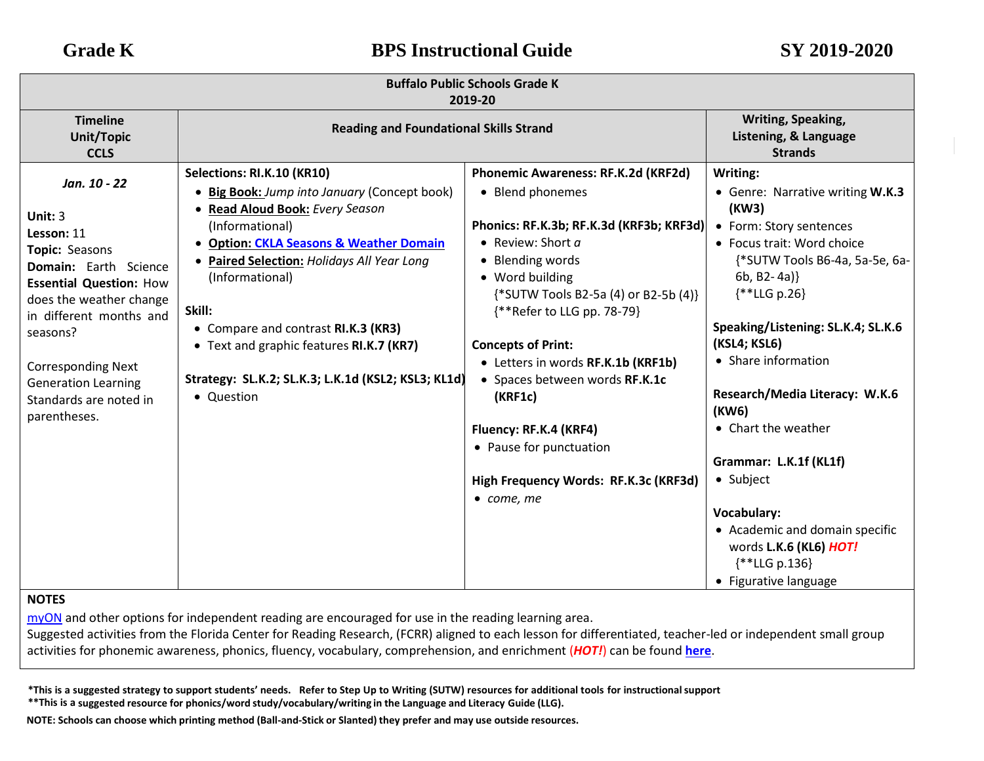| Writing, Speaking,<br><b>Timeline</b>                                                                                                                                                                                                                                                                                                                                                                                                                                                                                                                                                                                                                                                                                                                                                                                                                                                                                                                                                                                                                                                                                                                                                                                                                                                                                                                                                                                                                                                                                                                                                                                                                                                             |  |
|---------------------------------------------------------------------------------------------------------------------------------------------------------------------------------------------------------------------------------------------------------------------------------------------------------------------------------------------------------------------------------------------------------------------------------------------------------------------------------------------------------------------------------------------------------------------------------------------------------------------------------------------------------------------------------------------------------------------------------------------------------------------------------------------------------------------------------------------------------------------------------------------------------------------------------------------------------------------------------------------------------------------------------------------------------------------------------------------------------------------------------------------------------------------------------------------------------------------------------------------------------------------------------------------------------------------------------------------------------------------------------------------------------------------------------------------------------------------------------------------------------------------------------------------------------------------------------------------------------------------------------------------------------------------------------------------------|--|
| <b>Reading and Foundational Skills Strand</b><br>Listening, & Language<br><b>Unit/Topic</b><br><b>Strands</b><br><b>CCLS</b>                                                                                                                                                                                                                                                                                                                                                                                                                                                                                                                                                                                                                                                                                                                                                                                                                                                                                                                                                                                                                                                                                                                                                                                                                                                                                                                                                                                                                                                                                                                                                                      |  |
| Selections: RI.K.10 (KR10)<br>Phonemic Awareness: RF.K.2d (KRF2d)<br>Writing:<br>Jan. 10 - 22<br>• Big Book: Jump into January (Concept book)<br>• Blend phonemes<br>• Genre: Narrative writing W.K.3<br>(KW3)<br>Read Aloud Book: Every Season<br>Unit: 3<br>Phonics: RF.K.3b; RF.K.3d (KRF3b; KRF3d)<br>(Informational)<br>• Form: Story sentences<br>Lesson: 11<br>• Review: Short a<br>• Focus trait: Word choice<br>• Option: CKLA Seasons & Weather Domain<br>Topic: Seasons<br>• Blending words<br>{*SUTW Tools B6-4a, 5a-5e, 6a-<br>• Paired Selection: Holidays All Year Long<br><b>Domain:</b> Earth Science<br>$6b, B2-4a)$<br>• Word building<br>(Informational)<br><b>Essential Question: How</b><br>$\{$ **LLG p.26\}<br>{*SUTW Tools B2-5a (4) or B2-5b (4)}<br>does the weather change<br>Skill:<br>{**Refer to LLG pp. 78-79}<br>in different months and<br>Speaking/Listening: SL.K.4; SL.K.6<br>• Compare and contrast RI.K.3 (KR3)<br>seasons?<br>(KSL4; KSL6)<br>• Text and graphic features RI.K.7 (KR7)<br><b>Concepts of Print:</b><br>• Share information<br>• Letters in words RF.K.1b (KRF1b)<br><b>Corresponding Next</b><br>Strategy: SL.K.2; SL.K.3; L.K.1d (KSL2; KSL3; KL1d)<br>• Spaces between words RF.K.1c<br><b>Generation Learning</b><br>Research/Media Literacy: W.K.6<br>• Question<br>(KRF1c)<br>Standards are noted in<br>(KW6)<br>parentheses.<br>• Chart the weather<br>Fluency: RF.K.4 (KRF4)<br>• Pause for punctuation<br>Grammar: L.K.1f (KL1f)<br>• Subject<br>High Frequency Words: RF.K.3c (KRF3d)<br>$\bullet$ come, me<br>Vocabulary:<br>• Academic and domain specific<br>words L.K.6 (KL6) HOT!<br>$**LLG p.136$<br>• Figurative language |  |

[myON](https://www.myon.com/login/) and other options for independent reading are encouraged for use in the reading learning area.

Suggested activities from the Florida Center for Reading Research, (FCRR) aligned to each lesson for differentiated, teacher-led or independent small group activities for phonemic awareness, phonics, fluency, vocabulary, comprehension, and enrichment (*HOT!*) can be found **[here](https://www.buffaloschools.org/cms/lib/NY01913551/Centricity/Domain/70/Kinder_Enrichment_Activities_Aligned_to_HMH_Journeys_lessons_from_FCRR_9-6.pdf)**[.](http://www.buffaloschools.org/files/129058/Kinder_Activities_Aligned_to_HMH_Journeys_lessons_from_FCRR.pdf)

\*This is a suggested strategy to support students' needs. Refer to Step Up to Writing (SUTW) resources for additional tools for instructional support **\*\*This is a suggested resource for phonics/word study/vocabulary/writing in the Language and Literacy Guide (LLG).**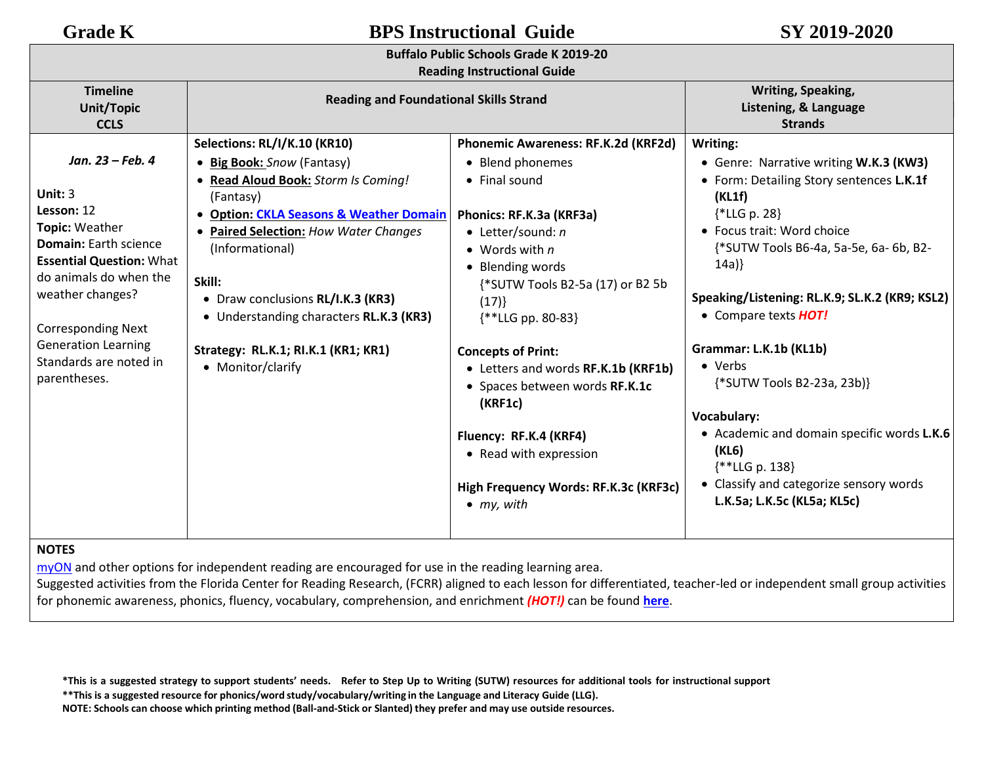|  | <b>Reading Instructional Guide</b> |  |
|--|------------------------------------|--|
|--|------------------------------------|--|

| <b>Timeline</b><br><b>Unit/Topic</b><br><b>CCLS</b>                                                                                                                                                                                                                                        | <b>Reading and Foundational Skills Strand</b>                                                                                                                                                                                                                                                                                                                                                          |                                                                                                                                                                                                                                                                                                                                                                                                                                                                                | <b>Writing, Speaking,</b><br>Listening, & Language<br><b>Strands</b>                                                                                                                                                                                                                                                                                                                                                                                                                                                                         |
|--------------------------------------------------------------------------------------------------------------------------------------------------------------------------------------------------------------------------------------------------------------------------------------------|--------------------------------------------------------------------------------------------------------------------------------------------------------------------------------------------------------------------------------------------------------------------------------------------------------------------------------------------------------------------------------------------------------|--------------------------------------------------------------------------------------------------------------------------------------------------------------------------------------------------------------------------------------------------------------------------------------------------------------------------------------------------------------------------------------------------------------------------------------------------------------------------------|----------------------------------------------------------------------------------------------------------------------------------------------------------------------------------------------------------------------------------------------------------------------------------------------------------------------------------------------------------------------------------------------------------------------------------------------------------------------------------------------------------------------------------------------|
| Jan. 23 – Feb. 4<br>Unit: $3$<br>Lesson: 12<br><b>Topic: Weather</b><br><b>Domain:</b> Earth science<br><b>Essential Question: What</b><br>do animals do when the<br>weather changes?<br><b>Corresponding Next</b><br><b>Generation Learning</b><br>Standards are noted in<br>parentheses. | Selections: RL/I/K.10 (KR10)<br>• Big Book: Snow (Fantasy)<br>• Read Aloud Book: Storm Is Coming!<br>(Fantasy)<br><b>Option: CKLA Seasons &amp; Weather Domain</b><br>$\bullet$<br><b>Paired Selection: How Water Changes</b><br>(Informational)<br>Skill:<br>• Draw conclusions RL/I.K.3 (KR3)<br>• Understanding characters RL.K.3 (KR3)<br>Strategy: RL.K.1; RI.K.1 (KR1; KR1)<br>• Monitor/clarify | Phonemic Awareness: RF.K.2d (KRF2d)<br>• Blend phonemes<br>• Final sound<br>Phonics: RF.K.3a (KRF3a)<br>$\bullet$ Letter/sound: n<br>• Words with $n$<br>• Blending words<br>{*SUTW Tools B2-5a (17) or B2 5b<br>(17)<br>$**LLG pp. 80-83$<br><b>Concepts of Print:</b><br>• Letters and words RF.K.1b (KRF1b)<br>• Spaces between words RF.K.1c<br>(KRF1c)<br>Fluency: RF.K.4 (KRF4)<br>• Read with expression<br>High Frequency Words: RF.K.3c (KRF3c)<br>$\bullet$ my, with | Writing:<br>• Genre: Narrative writing W.K.3 (KW3)<br>• Form: Detailing Story sentences L.K.1f<br>(KL1f)<br>$\{*LLG p. 28\}$<br>• Focus trait: Word choice<br>{*SUTW Tools B6-4a, 5a-5e, 6a-6b, B2-<br>14a)<br>Speaking/Listening: RL.K.9; SL.K.2 (KR9; KSL2)<br>• Compare texts <b>HOT!</b><br>Grammar: L.K.1b (KL1b)<br>• Verbs<br>{*SUTW Tools B2-23a, 23b)}<br><b>Vocabulary:</b><br>• Academic and domain specific words L.K.6<br>(KL6)<br>$\{$ * LLG p. 138}<br>• Classify and categorize sensory words<br>L.K.5a; L.K.5c (KL5a; KL5c) |

## **NOTES**

[myON](https://www.myon.com/login/) and other options for independent reading are encouraged for use in the reading learning area.

Suggested activities from the Florida Center for Reading Research, (FCRR) aligned to each lesson for differentiated, teacher-led or independent small group activities for phonemic awareness, phonics, fluency, vocabulary, comprehension, and enrichment *(HOT!)* can be found **[here](https://www.buffaloschools.org/cms/lib/NY01913551/Centricity/Domain/70/Kinder_Enrichment_Activities_Aligned_to_HMH_Journeys_lessons_from_FCRR_9-6.pdf)**[.](http://www.buffaloschools.org/files/129058/Kinder_Activities_Aligned_to_HMH_Journeys_lessons_from_FCRR.pdf)

\*This is a suggested strategy to support students' needs. Refer to Step Up to Writing (SUTW) resources for additional tools for instructional support

**\*\*This is a suggested resource for phonics/word study/vocabulary/writing in the Language and Literacy Guide (LLG).**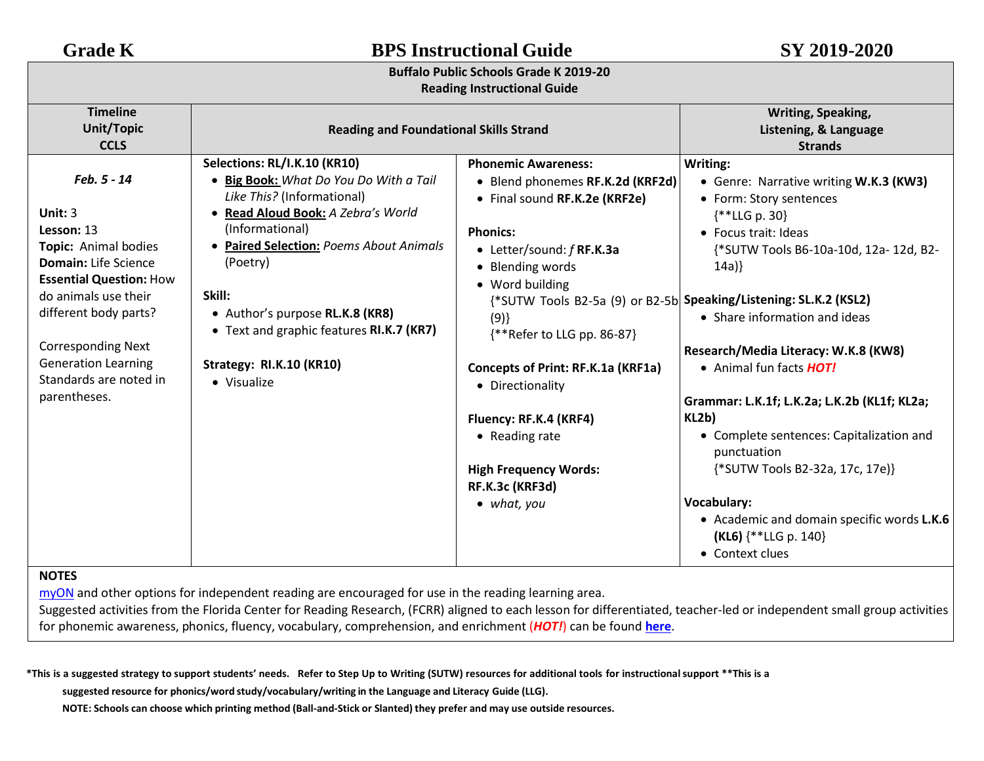## **Buffalo Public Schools Grade K 2019-20**

### **Reading Instructional Guide**

| <b>Timeline</b>                                                                                                |                                                                                                                                                                                                          |                                                                                                                                                 | Writing, Speaking,                                                                                                                                                   |
|----------------------------------------------------------------------------------------------------------------|----------------------------------------------------------------------------------------------------------------------------------------------------------------------------------------------------------|-------------------------------------------------------------------------------------------------------------------------------------------------|----------------------------------------------------------------------------------------------------------------------------------------------------------------------|
| <b>Unit/Topic</b>                                                                                              | <b>Reading and Foundational Skills Strand</b>                                                                                                                                                            |                                                                                                                                                 | Listening, & Language                                                                                                                                                |
| <b>CCLS</b>                                                                                                    |                                                                                                                                                                                                          |                                                                                                                                                 | <b>Strands</b>                                                                                                                                                       |
| Feb. 5 - 14<br>Unit: 3<br>Lesson: 13<br>Topic: Animal bodies                                                   | Selections: RL/I.K.10 (KR10)<br>• Big Book: What Do You Do With a Tail<br>Like This? (Informational)<br>· Read Aloud Book: A Zebra's World<br>(Informational)<br>• Paired Selection: Poems About Animals | <b>Phonemic Awareness:</b><br>• Blend phonemes RF.K.2d (KRF2d)<br>• Final sound RF.K.2e (KRF2e)<br><b>Phonics:</b><br>• Letter/sound: f RF.K.3a | Writing:<br>• Genre: Narrative writing W.K.3 (KW3)<br>• Form: Story sentences<br>$\{$ * LLG p. 30}<br>• Focus trait: Ideas<br>{*SUTW Tools B6-10a-10d, 12a- 12d, B2- |
| <b>Domain:</b> Life Science<br><b>Essential Question: How</b><br>do animals use their<br>different body parts? | (Poetry)<br>Skill:<br>• Author's purpose RL.K.8 (KR8)<br>• Text and graphic features RI.K.7 (KR7)                                                                                                        | • Blending words<br>• Word building<br>(9)<br>{**Refer to LLG pp. 86-87}                                                                        | 14a)<br>{*SUTW Tools B2-5a (9) or B2-5b Speaking/Listening: SL.K.2 (KSL2)<br>• Share information and ideas                                                           |
| <b>Corresponding Next</b><br><b>Generation Learning</b><br>Standards are noted in<br>parentheses.              | Strategy: RI.K.10 (KR10)<br>• Visualize                                                                                                                                                                  | Concepts of Print: RF.K.1a (KRF1a)<br>• Directionality                                                                                          | Research/Media Literacy: W.K.8 (KW8)<br>• Animal fun facts <b>HOT!</b><br>Grammar: L.K.1f; L.K.2a; L.K.2b (KL1f; KL2a;                                               |
|                                                                                                                |                                                                                                                                                                                                          | Fluency: RF.K.4 (KRF4)                                                                                                                          | KL2b)                                                                                                                                                                |
|                                                                                                                |                                                                                                                                                                                                          | • Reading rate                                                                                                                                  | • Complete sentences: Capitalization and<br>punctuation                                                                                                              |
|                                                                                                                |                                                                                                                                                                                                          | <b>High Frequency Words:</b><br>RF.K.3c (KRF3d)                                                                                                 | {*SUTW Tools B2-32a, 17c, 17e}}                                                                                                                                      |
|                                                                                                                |                                                                                                                                                                                                          | $\bullet$ what, you                                                                                                                             | Vocabulary:<br>• Academic and domain specific words L.K.6<br>(KL6) {**LLG p. 140}<br>• Context clues                                                                 |

## **NOTES**

[myON](https://www.myon.com/login/) and other options for independent reading are encouraged for use in the reading learning area.

Suggested activities from the Florida Center for Reading Research, (FCRR) aligned to each lesson for differentiated, teacher-led or independent small group activities for phonemic awareness, phonics, fluency, vocabulary, comprehension, and enrichment (*HOT!*) can be found **[here](https://www.buffaloschools.org/cms/lib/NY01913551/Centricity/Domain/70/Kinder_Enrichment_Activities_Aligned_to_HMH_Journeys_lessons_from_FCRR_9-6.pdf)**[.](http://www.buffaloschools.org/files/129058/Kinder_Activities_Aligned_to_HMH_Journeys_lessons_from_FCRR.pdf)

\*This is a suggested strategy to support students' needs. Refer to Step Up to Writing (SUTW) resources for additional tools for instructional support \*\*This is a

**suggested resource for phonics/word study/vocabulary/writing in the Language and Literacy Guide (LLG).**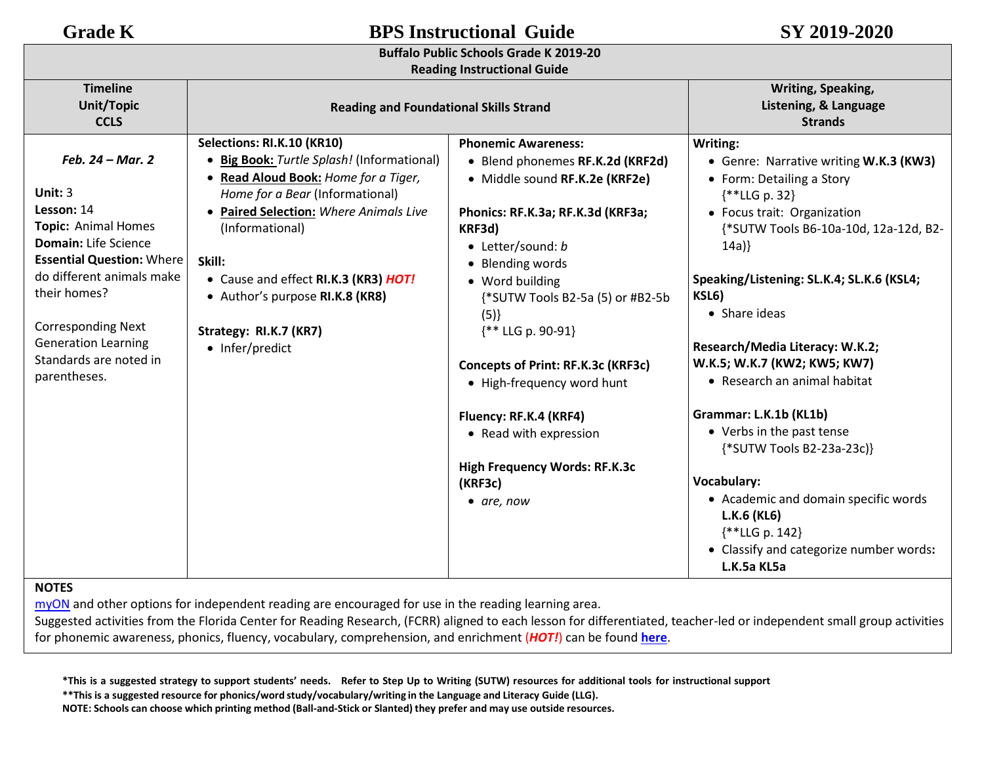## **Reading Instructional Guide**

| <b>Timeline</b><br><b>Unit/Topic</b><br><b>CCLS</b> | <b>Reading and Foundational Skills Strand</b> |                                      | Writing, Speaking,<br>Listening, & Language<br><b>Strands</b> |
|-----------------------------------------------------|-----------------------------------------------|--------------------------------------|---------------------------------------------------------------|
|                                                     | Selections: RI.K.10 (KR10)                    | <b>Phonemic Awareness:</b>           | Writing:                                                      |
| Feb. 24 - Mar. 2                                    | • Big Book: Turtle Splash! (Informational)    | • Blend phonemes RF.K.2d (KRF2d)     | • Genre: Narrative writing W.K.3 (KW3)                        |
|                                                     | • Read Aloud Book: Home for a Tiger,          | · Middle sound RF.K.2e (KRF2e)       | • Form: Detailing a Story                                     |
| Unit: $3$                                           | Home for a Bear (Informational)               |                                      | $\{**LLG p. 32\}$                                             |
| Lesson: 14                                          | • Paired Selection: Where Animals Live        | Phonics: RF.K.3a; RF.K.3d (KRF3a;    | • Focus trait: Organization                                   |
| <b>Topic: Animal Homes</b>                          | (Informational)                               | KRF3d)                               | {*SUTW Tools B6-10a-10d, 12a-12d, B2-                         |
| <b>Domain:</b> Life Science                         |                                               | • Letter/sound: b                    | 14a)                                                          |
| <b>Essential Question: Where</b>                    | Skill:                                        | • Blending words                     |                                                               |
| do different animals make                           | • Cause and effect RI.K.3 (KR3) HOT!          | • Word building                      | Speaking/Listening: SL.K.4; SL.K.6 (KSL4;                     |
| their homes?                                        | • Author's purpose RI.K.8 (KR8)               | {*SUTW Tools B2-5a (5) or #B2-5b     | KSL6)                                                         |
|                                                     |                                               | (5)                                  | • Share ideas                                                 |
| <b>Corresponding Next</b>                           | Strategy: RI.K.7 (KR7)                        | {** LLG p. 90-91}                    |                                                               |
| <b>Generation Learning</b>                          | • Infer/predict                               |                                      | Research/Media Literacy: W.K.2;                               |
| Standards are noted in                              |                                               | Concepts of Print: RF.K.3c (KRF3c)   | W.K.5; W.K.7 (KW2; KW5; KW7)                                  |
| parentheses.                                        |                                               | • High-frequency word hunt           | • Research an animal habitat                                  |
|                                                     |                                               | Fluency: RF.K.4 (KRF4)               | Grammar: L.K.1b (KL1b)                                        |
|                                                     |                                               | • Read with expression               | • Verbs in the past tense<br>{*SUTW Tools B2-23a-23c)}        |
|                                                     |                                               | <b>High Frequency Words: RF.K.3c</b> |                                                               |
|                                                     |                                               | (KRF3c)                              | Vocabulary:                                                   |
|                                                     |                                               | $\bullet$ are, now                   | • Academic and domain specific words                          |
|                                                     |                                               |                                      | L.K.6 (KL6)                                                   |
|                                                     |                                               |                                      | $\{$ *LLG p. 142}                                             |
|                                                     |                                               |                                      | • Classify and categorize number words:                       |
|                                                     |                                               |                                      | L.K.5a KL5a                                                   |
| <b>NOTEC</b>                                        |                                               |                                      |                                                               |

**NOTES** 

[myON](https://www.myon.com/login/) and other options for independent reading are encouraged for use in the reading learning area.

Suggested activities from the Florida Center for Reading Research, (FCRR) aligned to each lesson for differentiated, teacher-led or independent small group activities for phonemic awareness, phonics, fluency, vocabulary, comprehension, and enrichment (*HOT!*) can be found **[here](https://www.buffaloschools.org/cms/lib/NY01913551/Centricity/Domain/70/Kinder_Enrichment_Activities_Aligned_to_HMH_Journeys_lessons_from_FCRR_9-6.pdf)**.

\*This is a suggested strategy to support students' needs. Refer to Step Up to Writing (SUTW) resources for additional tools for instructional support

**\*\*This is a suggested resource for phonics/word study/vocabulary/writing in the Language and Literacy Guide (LLG).**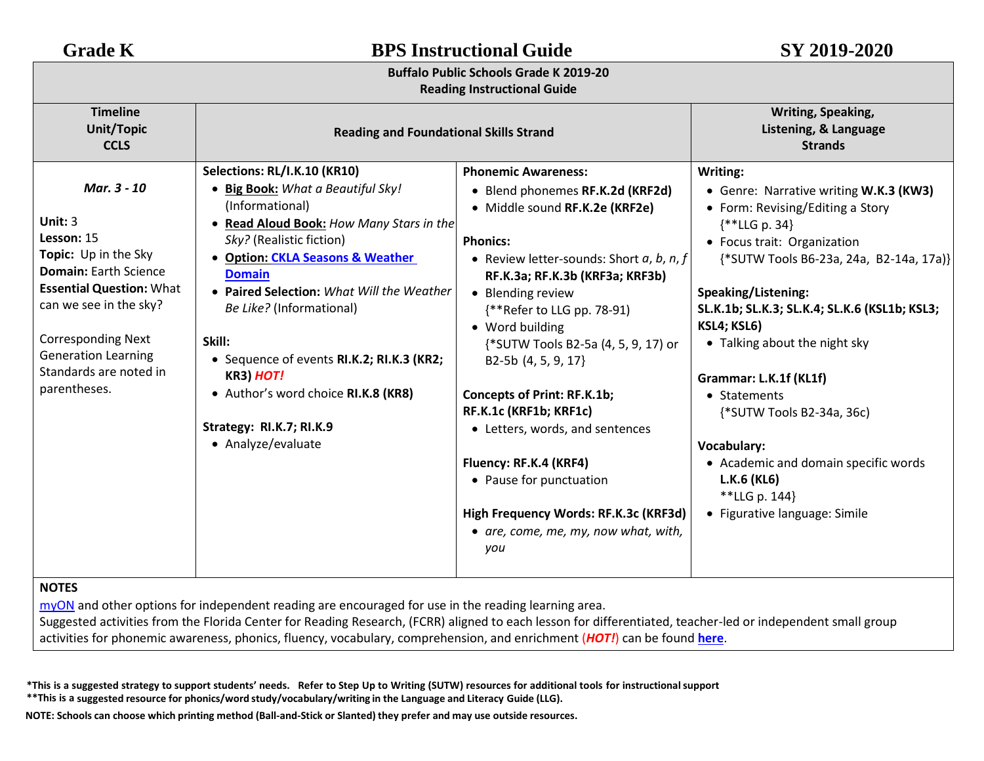| <b>Grade K</b>                                                                                                                                                                                                                                                   | <b>BPS Instructional Guide</b>                                                                                                                                                                                                                                                                                                                                                                                                                                 |                                                                                                                                                                                                                                                                                                                                                                                                                                                                                                                                                                                          | SY 2019-2020                                                                                                                                                                                                                                                                                                                                                                                                                                                                                                 |  |
|------------------------------------------------------------------------------------------------------------------------------------------------------------------------------------------------------------------------------------------------------------------|----------------------------------------------------------------------------------------------------------------------------------------------------------------------------------------------------------------------------------------------------------------------------------------------------------------------------------------------------------------------------------------------------------------------------------------------------------------|------------------------------------------------------------------------------------------------------------------------------------------------------------------------------------------------------------------------------------------------------------------------------------------------------------------------------------------------------------------------------------------------------------------------------------------------------------------------------------------------------------------------------------------------------------------------------------------|--------------------------------------------------------------------------------------------------------------------------------------------------------------------------------------------------------------------------------------------------------------------------------------------------------------------------------------------------------------------------------------------------------------------------------------------------------------------------------------------------------------|--|
| <b>Buffalo Public Schools Grade K 2019-20</b><br><b>Reading Instructional Guide</b>                                                                                                                                                                              |                                                                                                                                                                                                                                                                                                                                                                                                                                                                |                                                                                                                                                                                                                                                                                                                                                                                                                                                                                                                                                                                          |                                                                                                                                                                                                                                                                                                                                                                                                                                                                                                              |  |
| <b>Timeline</b><br><b>Unit/Topic</b><br><b>CCLS</b>                                                                                                                                                                                                              | <b>Reading and Foundational Skills Strand</b>                                                                                                                                                                                                                                                                                                                                                                                                                  | Writing, Speaking,<br>Listening, & Language<br><b>Strands</b>                                                                                                                                                                                                                                                                                                                                                                                                                                                                                                                            |                                                                                                                                                                                                                                                                                                                                                                                                                                                                                                              |  |
| Mar. 3 - 10<br>Unit: $3$<br>Lesson: 15<br>Topic: Up in the Sky<br><b>Domain: Earth Science</b><br><b>Essential Question: What</b><br>can we see in the sky?<br><b>Corresponding Next</b><br><b>Generation Learning</b><br>Standards are noted in<br>parentheses. | Selections: RL/I.K.10 (KR10)<br>• Big Book: What a Beautiful Sky!<br>(Informational)<br>• Read Aloud Book: How Many Stars in the<br>Sky? (Realistic fiction)<br>• Option: CKLA Seasons & Weather<br><b>Domain</b><br>• Paired Selection: What Will the Weather<br>Be Like? (Informational)<br>Skill:<br>• Sequence of events RI.K.2; RI.K.3 (KR2;<br><b>KR3) HOT!</b><br>• Author's word choice RI.K.8 (KR8)<br>Strategy: RI.K.7; RI.K.9<br>• Analyze/evaluate | <b>Phonemic Awareness:</b><br>• Blend phonemes RF.K.2d (KRF2d)<br>· Middle sound RF.K.2e (KRF2e)<br><b>Phonics:</b><br>• Review letter-sounds: Short $a, b, n, f$<br>RF.K.3a; RF.K.3b (KRF3a; KRF3b)<br>• Blending review<br>{**Refer to LLG pp. 78-91)<br>• Word building<br>{*SUTW Tools B2-5a (4, 5, 9, 17) or<br>B2-5b (4, 5, 9, 17}<br><b>Concepts of Print: RF.K.1b;</b><br>RF.K.1c (KRF1b; KRF1c)<br>• Letters, words, and sentences<br>Fluency: RF.K.4 (KRF4)<br>• Pause for punctuation<br>High Frequency Words: RF.K.3c (KRF3d)<br>• are, come, me, my, now what, with,<br>you | Writing:<br>• Genre: Narrative writing W.K.3 (KW3)<br>• Form: Revising/Editing a Story<br>$\{**LLG p. 34\}$<br>• Focus trait: Organization<br>{*SUTW Tools B6-23a, 24a, B2-14a, 17a)}<br>Speaking/Listening:<br>SL.K.1b; SL.K.3; SL.K.4; SL.K.6 (KSL1b; KSL3;<br>KSL4; KSL6)<br>• Talking about the night sky<br>Grammar: L.K.1f (KL1f)<br>• Statements<br>{*SUTW Tools B2-34a, 36c)<br>Vocabulary:<br>• Academic and domain specific words<br>L.K.6 (KL6)<br>**LLG p. 144}<br>• Figurative language: Simile |  |
| <b>NOTES</b>                                                                                                                                                                                                                                                     |                                                                                                                                                                                                                                                                                                                                                                                                                                                                |                                                                                                                                                                                                                                                                                                                                                                                                                                                                                                                                                                                          |                                                                                                                                                                                                                                                                                                                                                                                                                                                                                                              |  |

[myON](https://www.myon.com/login/) and other options for independent reading are encouraged for use in the reading learning area.

Suggested activities from the Florida Center for Reading Research, (FCRR) aligned to each lesson for differentiated, teacher-led or independent small group activities for phonemic awareness, phonics, fluency, vocabulary, comprehension, and enrichment (*HOT!*) can be found **[here](https://www.buffaloschools.org/cms/lib/NY01913551/Centricity/Domain/70/Kinder_Enrichment_Activities_Aligned_to_HMH_Journeys_lessons_from_FCRR_9-6.pdf)**[.](http://www.buffaloschools.org/files/129058/Kinder_Activities_Aligned_to_HMH_Journeys_lessons_from_FCRR.pdf)

\*This is a suggested strategy to support students' needs. Refer to Step Up to Writing (SUTW) resources for additional tools for instructional support

**\*\*This is a suggested resource for phonics/word study/vocabulary/writing in the Language and Literacy Guide (LLG).**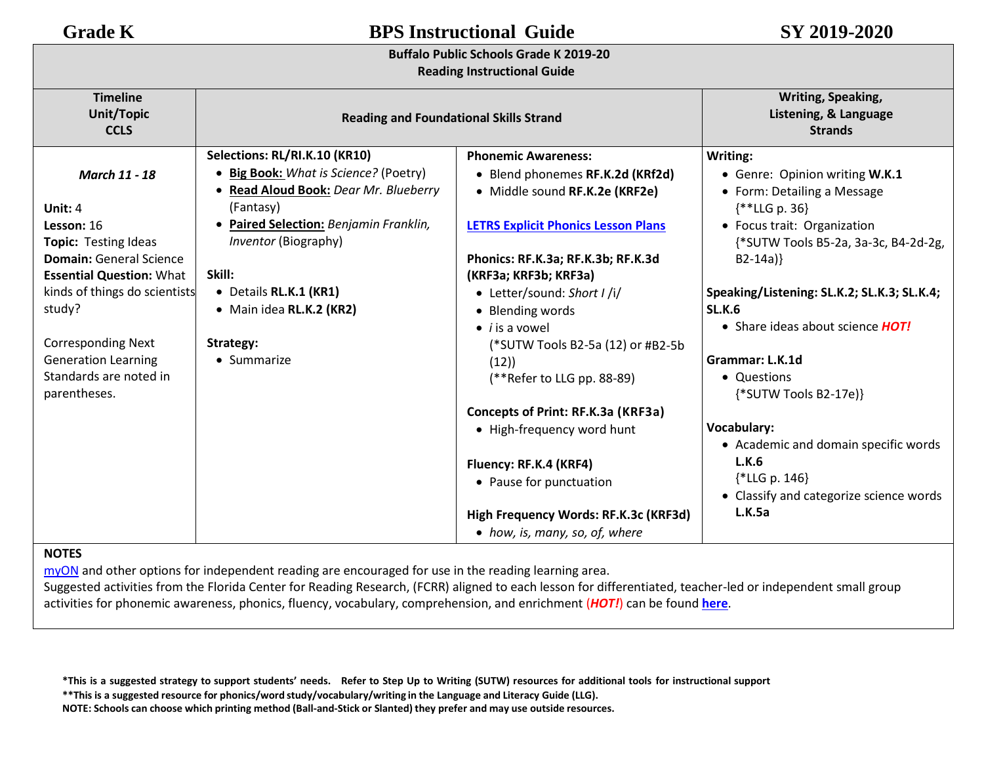## **Buffalo Public Schools Grade K 2019-20**

## **Reading Instructional Guide**

| <b>Timeline</b><br>Unit/Topic   |                                                       | Writing, Speaking,<br>Listening, & Language |                                             |
|---------------------------------|-------------------------------------------------------|---------------------------------------------|---------------------------------------------|
|                                 | <b>Reading and Foundational Skills Strand</b>         |                                             |                                             |
| <b>CCLS</b>                     |                                                       | <b>Strands</b>                              |                                             |
|                                 | Selections: RL/RI.K.10 (KR10)                         | <b>Phonemic Awareness:</b>                  | Writing:                                    |
| <b>March 11 - 18</b>            | • Big Book: What is Science? (Poetry)                 | • Blend phonemes RF.K.2d (KRf2d)            | • Genre: Opinion writing W.K.1              |
|                                 | • Read Aloud Book: Dear Mr. Blueberry                 | • Middle sound RF.K.2e (KRF2e)              | • Form: Detailing a Message                 |
| Unit: 4                         | (Fantasy)                                             |                                             | $**LLG p. 36$                               |
| Lesson: 16                      | • Paired Selection: Benjamin Franklin,                | <b>LETRS Explicit Phonics Lesson Plans</b>  | • Focus trait: Organization                 |
| <b>Topic: Testing Ideas</b>     | Inventor (Biography)                                  |                                             | {*SUTW Tools B5-2a, 3a-3c, B4-2d-2g,        |
| <b>Domain: General Science</b>  |                                                       | Phonics: RF.K.3a; RF.K.3b; RF.K.3d          | $B2-14a$ }                                  |
| <b>Essential Question: What</b> | Skill:                                                | (KRF3a; KRF3b; KRF3a)                       |                                             |
| kinds of things do scientists   | · Details RL.K.1 (KR1)<br>• Letter/sound: Short I /i/ |                                             | Speaking/Listening: SL.K.2; SL.K.3; SL.K.4; |
| study?                          | • Main idea RL.K.2 (KR2)                              | • Blending words                            | <b>SL.K.6</b>                               |
|                                 |                                                       | $\bullet$ <i>i</i> is a vowel               | • Share ideas about science HOT!            |
| <b>Corresponding Next</b>       | Strategy:                                             | (*SUTW Tools B2-5a (12) or #B2-5b           |                                             |
| <b>Generation Learning</b>      | • Summarize                                           | (12)                                        | Grammar: L.K.1d                             |
| Standards are noted in          |                                                       | (**Refer to LLG pp. 88-89)                  | • Questions                                 |
| parentheses.                    |                                                       |                                             | {*SUTW Tools B2-17e}}                       |
|                                 |                                                       | Concepts of Print: RF.K.3a (KRF3a)          |                                             |
|                                 |                                                       | • High-frequency word hunt                  | <b>Vocabulary:</b>                          |
|                                 |                                                       |                                             | • Academic and domain specific words        |
|                                 |                                                       | Fluency: RF.K.4 (KRF4)                      | L.K.6                                       |
|                                 |                                                       | • Pause for punctuation                     | ${*LLG p. 146}$                             |
|                                 |                                                       |                                             | • Classify and categorize science words     |
|                                 |                                                       | High Frequency Words: RF.K.3c (KRF3d)       | L.K.5a                                      |
|                                 |                                                       | • how, is, many, so, of, where              |                                             |

## **NOTES**

[myON](https://www.myon.com/login/) and other options for independent reading are encouraged for use in the reading learning area.

Suggested activities from the Florida Center for Reading Research, (FCRR) aligned to each lesson for differentiated, teacher-led or independent small group activities for phonemic awareness, phonics, fluency, vocabulary, comprehension, and enrichment (*HOT!*) can be found **[here](https://www.buffaloschools.org/cms/lib/NY01913551/Centricity/Domain/70/Kinder_Enrichment_Activities_Aligned_to_HMH_Journeys_lessons_from_FCRR_9-6.pdf)**.

\*This is a suggested strategy to support students' needs. Refer to Step Up to Writing (SUTW) resources for additional tools for instructional support

**\*\*This is a suggested resource for phonics/word study/vocabulary/writing in the Language and Literacy Guide (LLG).**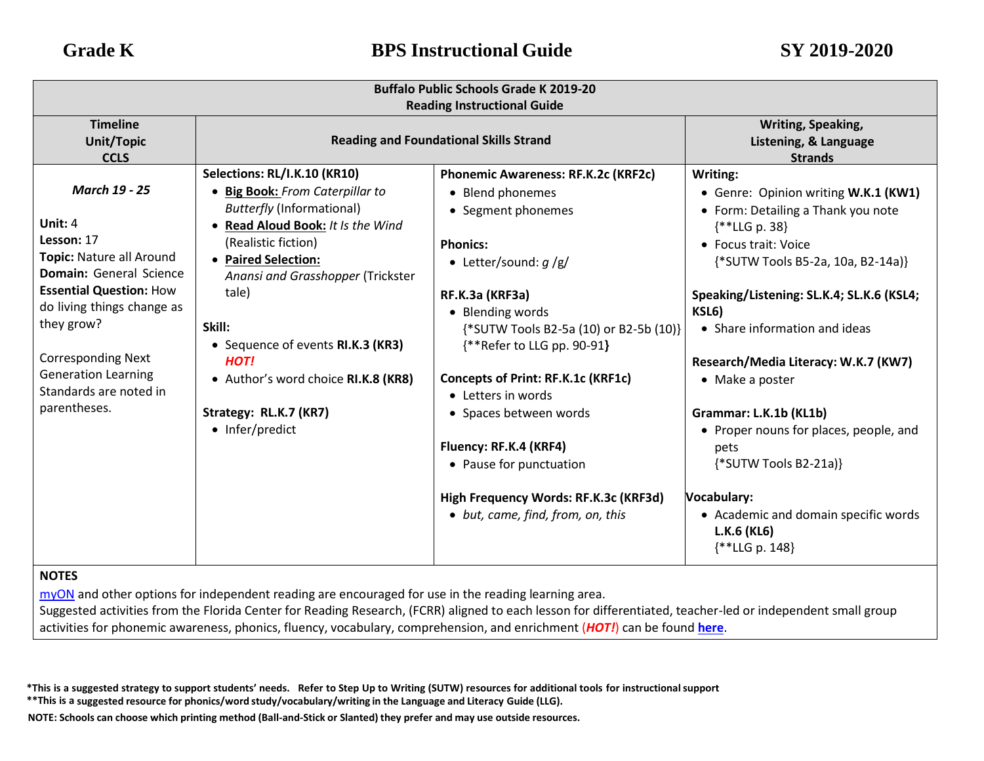| <b>Buffalo Public Schools Grade K 2019-20</b>                                                                                                                                                                                                                                                    |                                                                                                                                                                                                                                                                                                                                                                                                   |                                                                                                                                                                                                                                                                                                                                                                                                                                                                           |                                                                                                                                                                                                                                                                                                                                                                                                                                                                                                                          |  |                |
|--------------------------------------------------------------------------------------------------------------------------------------------------------------------------------------------------------------------------------------------------------------------------------------------------|---------------------------------------------------------------------------------------------------------------------------------------------------------------------------------------------------------------------------------------------------------------------------------------------------------------------------------------------------------------------------------------------------|---------------------------------------------------------------------------------------------------------------------------------------------------------------------------------------------------------------------------------------------------------------------------------------------------------------------------------------------------------------------------------------------------------------------------------------------------------------------------|--------------------------------------------------------------------------------------------------------------------------------------------------------------------------------------------------------------------------------------------------------------------------------------------------------------------------------------------------------------------------------------------------------------------------------------------------------------------------------------------------------------------------|--|----------------|
| <b>Reading Instructional Guide</b>                                                                                                                                                                                                                                                               |                                                                                                                                                                                                                                                                                                                                                                                                   |                                                                                                                                                                                                                                                                                                                                                                                                                                                                           |                                                                                                                                                                                                                                                                                                                                                                                                                                                                                                                          |  |                |
| <b>Timeline</b><br><b>Unit/Topic</b><br><b>CCLS</b>                                                                                                                                                                                                                                              | <b>Reading and Foundational Skills Strand</b>                                                                                                                                                                                                                                                                                                                                                     |                                                                                                                                                                                                                                                                                                                                                                                                                                                                           | <b>Writing, Speaking,</b><br>Listening, & Language                                                                                                                                                                                                                                                                                                                                                                                                                                                                       |  | <b>Strands</b> |
| <b>March 19 - 25</b><br>Unit: $4$<br>Lesson: 17<br>Topic: Nature all Around<br><b>Domain:</b> General Science<br><b>Essential Question: How</b><br>do living things change as<br>they grow?<br><b>Corresponding Next</b><br><b>Generation Learning</b><br>Standards are noted in<br>parentheses. | Selections: RL/I.K.10 (KR10)<br>• Big Book: From Caterpillar to<br><b>Butterfly (Informational)</b><br>Read Aloud Book: It Is the Wind<br>$\bullet$<br>(Realistic fiction)<br>• Paired Selection:<br>Anansi and Grasshopper (Trickster<br>tale)<br>Skill:<br>• Sequence of events RI.K.3 (KR3)<br><b>HOT!</b><br>• Author's word choice RI.K.8 (KR8)<br>Strategy: RL.K.7 (KR7)<br>• Infer/predict | Phonemic Awareness: RF.K.2c (KRF2c)<br>• Blend phonemes<br>• Segment phonemes<br><b>Phonics:</b><br>• Letter/sound: $q/g/$<br>RF.K.3a (KRF3a)<br>• Blending words<br>{*SUTW Tools B2-5a (10) or B2-5b (10)}<br>{**Refer to LLG pp. 90-91}<br><b>Concepts of Print: RF.K.1c (KRF1c)</b><br>• Letters in words<br>• Spaces between words<br>Fluency: RF.K.4 (KRF4)<br>• Pause for punctuation<br>High Frequency Words: RF.K.3c (KRF3d)<br>• but, came, find, from, on, this | Writing:<br>• Genre: Opinion writing W.K.1 (KW1)<br>• Form: Detailing a Thank you note<br>$\{$ * *LLG p. 38}<br>• Focus trait: Voice<br>{*SUTW Tools B5-2a, 10a, B2-14a)}<br>Speaking/Listening: SL.K.4; SL.K.6 (KSL4;<br>KSL6)<br>• Share information and ideas<br>Research/Media Literacy: W.K.7 (KW7)<br>• Make a poster<br>Grammar: L.K.1b (KL1b)<br>• Proper nouns for places, people, and<br>pets<br>{*SUTW Tools B2-21a)}<br>Vocabulary:<br>• Academic and domain specific words<br>L.K.6 (KL6)<br>{**LLG p. 148} |  |                |

[myON](https://www.myon.com/login/) and other options for independent reading are encouraged for use in the reading learning area.

Suggested activities from the Florida Center for Reading Research, (FCRR) aligned to each lesson for differentiated, teacher-led or independent small group activities for phonemic awareness, phonics, fluency, vocabulary, comprehension, and enrichment (*HOT!*) can be found **[here](https://www.buffaloschools.org/cms/lib/NY01913551/Centricity/Domain/70/Kinder_Enrichment_Activities_Aligned_to_HMH_Journeys_lessons_from_FCRR_9-6.pdf)**[.](http://www.buffaloschools.org/files/129058/Kinder_Activities_Aligned_to_HMH_Journeys_lessons_from_FCRR.pdf)

\*This is a suggested strategy to support students' needs. Refer to Step Up to Writing (SUTW) resources for additional tools for instructional support

**\*\*This is a suggested resource for phonics/word study/vocabulary/writing in the Language and Literacy Guide (LLG).**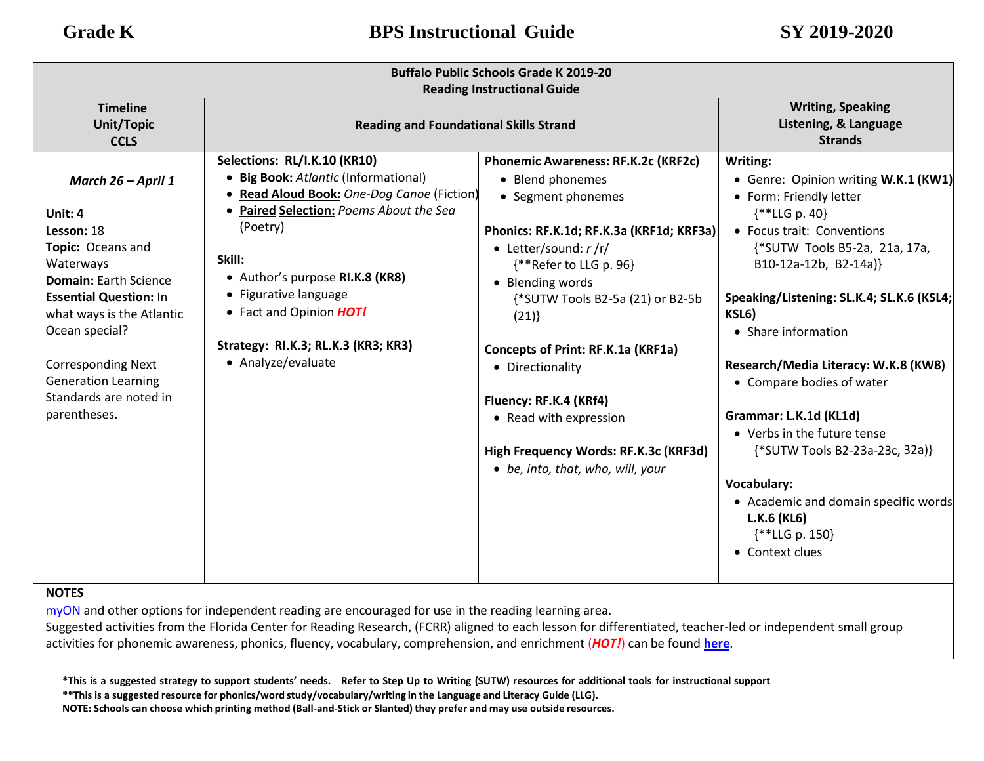| <b>Buffalo Public Schools Grade K 2019-20</b><br><b>Reading Instructional Guide</b>                                                                                                                                                                                                                          |                                                                                                                                                                                                                                                                                                                                         |                                                                                                                                                                                                                                                                                                                                                                                                                                             |                                                                                                                                                                                                                                                                                                                                                                                                                                                                                                                                                                |
|--------------------------------------------------------------------------------------------------------------------------------------------------------------------------------------------------------------------------------------------------------------------------------------------------------------|-----------------------------------------------------------------------------------------------------------------------------------------------------------------------------------------------------------------------------------------------------------------------------------------------------------------------------------------|---------------------------------------------------------------------------------------------------------------------------------------------------------------------------------------------------------------------------------------------------------------------------------------------------------------------------------------------------------------------------------------------------------------------------------------------|----------------------------------------------------------------------------------------------------------------------------------------------------------------------------------------------------------------------------------------------------------------------------------------------------------------------------------------------------------------------------------------------------------------------------------------------------------------------------------------------------------------------------------------------------------------|
| <b>Timeline</b><br><b>Unit/Topic</b><br><b>CCLS</b>                                                                                                                                                                                                                                                          | <b>Reading and Foundational Skills Strand</b>                                                                                                                                                                                                                                                                                           |                                                                                                                                                                                                                                                                                                                                                                                                                                             | <b>Writing, Speaking</b><br>Listening, & Language<br><b>Strands</b>                                                                                                                                                                                                                                                                                                                                                                                                                                                                                            |
| March 26 - April 1<br>Unit: 4<br>Lesson: 18<br>Topic: Oceans and<br>Waterways<br>Domain: Earth Science<br><b>Essential Question: In</b><br>what ways is the Atlantic<br>Ocean special?<br><b>Corresponding Next</b><br><b>Generation Learning</b><br>Standards are noted in<br>parentheses.<br><b>NIOTEC</b> | Selections: RL/I.K.10 (KR10)<br>• Big Book: Atlantic (Informational)<br>• Read Aloud Book: One-Dog Canoe (Fiction)<br>• Paired Selection: Poems About the Sea<br>(Poetry)<br>Skill:<br>• Author's purpose RI.K.8 (KR8)<br>• Figurative language<br>• Fact and Opinion HOT!<br>Strategy: RI.K.3; RL.K.3 (KR3; KR3)<br>• Analyze/evaluate | Phonemic Awareness: RF.K.2c (KRF2c)<br>• Blend phonemes<br>• Segment phonemes<br>Phonics: RF.K.1d; RF.K.3a (KRF1d; KRF3a)<br>• Letter/sound: $r / r/$<br>{**Refer to LLG p. 96}<br>• Blending words<br>{*SUTW Tools B2-5a (21) or B2-5b<br>(21)<br>Concepts of Print: RF.K.1a (KRF1a)<br>• Directionality<br>Fluency: RF.K.4 (KRf4)<br>• Read with expression<br>High Frequency Words: RF.K.3c (KRF3d)<br>• be, into, that, who, will, your | Writing:<br>• Genre: Opinion writing W.K.1 (KW1)<br>• Form: Friendly letter<br>$\{$ * <b>LLG</b> p. 40}<br>• Focus trait: Conventions<br>{*SUTW Tools B5-2a, 21a, 17a,<br>B10-12a-12b, B2-14a)}<br>Speaking/Listening: SL.K.4; SL.K.6 (KSL4;<br>KSL6)<br>• Share information<br>Research/Media Literacy: W.K.8 (KW8)<br>• Compare bodies of water<br>Grammar: L.K.1d (KL1d)<br>• Verbs in the future tense<br>{*SUTW Tools B2-23a-23c, 32a)}<br><b>Vocabulary:</b><br>• Academic and domain specific words<br>L.K.6 (KL6)<br>$**LLG p. 150$<br>• Context clues |

[myON](https://www.myon.com/login/) and other options for independent reading are encouraged for use in the reading learning area.

Suggested activities from the Florida Center for Reading Research, (FCRR) aligned to each lesson for differentiated, teacher-led or independent small group activities for phonemic awareness, phonics, fluency, vocabulary, comprehension, and enrichment (*HOT!*) can be found **[here](https://www.buffaloschools.org/cms/lib/NY01913551/Centricity/Domain/70/Kinder_Enrichment_Activities_Aligned_to_HMH_Journeys_lessons_from_FCRR_9-6.pdf)**[.](http://www.buffaloschools.org/files/129058/Kinder_Activities_Aligned_to_HMH_Journeys_lessons_from_FCRR.pdf)

\*This is a suggested strategy to support students' needs. Refer to Step Up to Writing (SUTW) resources for additional tools for instructional support

**\*\*This is a suggested resource for phonics/word study/vocabulary/writing in the Language and Literacy Guide (LLG).**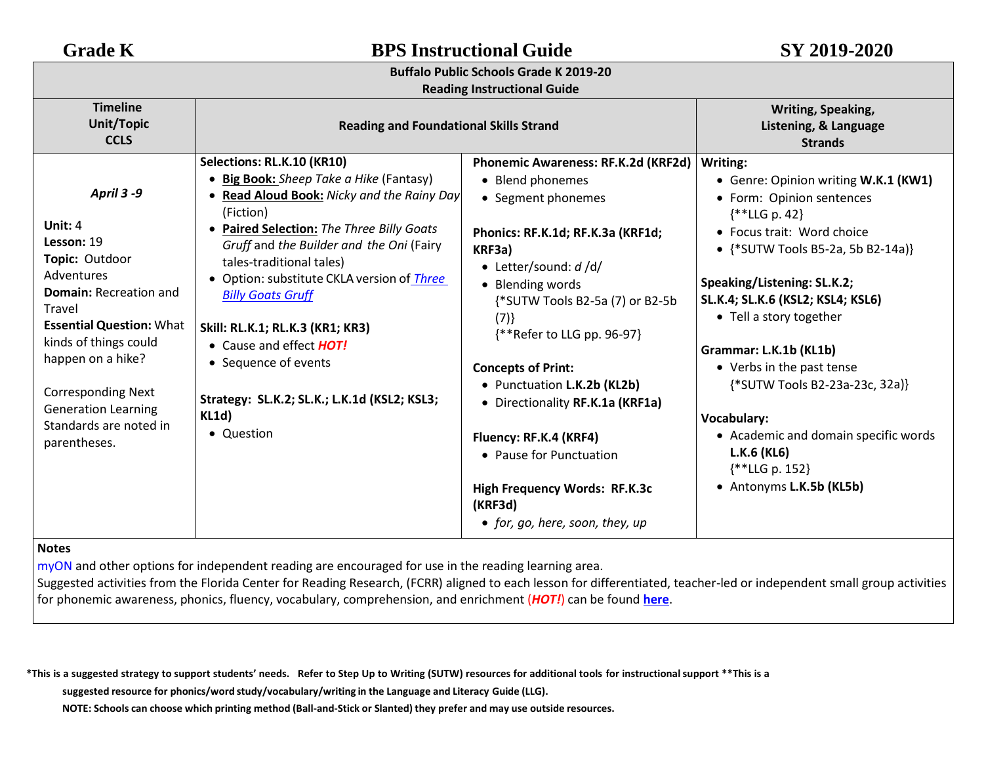| <b>Buffalo Public Schools Grade K 2019-20</b> |  |  |  |
|-----------------------------------------------|--|--|--|
|-----------------------------------------------|--|--|--|

## **Reading Instructional Guide**

| <b>Timeline</b><br>Writing, Speaking,<br>Unit/Topic<br><b>Reading and Foundational Skills Strand</b><br>Listening, & Language<br><b>CCLS</b><br><b>Strands</b><br>Selections: RL.K.10 (KR10)<br>Phonemic Awareness: RF.K.2d (KRF2d)  <br>Writing:<br><b>Big Book:</b> Sheep Take a Hike (Fantasy)<br>• Blend phonemes<br>• Genre: Opinion writing W.K.1 (KW1)<br>April 3 -9<br>Read Aloud Book: Nicky and the Rainy Day<br>$\bullet$<br>• Segment phonemes<br>• Form: Opinion sentences<br>(Fiction)<br>$\{***LLG p. 42\}$<br>Unit: 4<br>Paired Selection: The Three Billy Goats<br>$\bullet$<br>• Focus trait: Word choice<br>Phonics: RF.K.1d; RF.K.3a (KRF1d;<br>Lesson: 19<br>Gruff and the Builder and the Oni (Fairy<br>• $\{$ *SUTW Tools B5-2a, 5b B2-14a)}<br>KRF3a)<br>Topic: Outdoor<br>tales-traditional tales)<br>• Letter/sound: $d$ /d/<br>Adventures<br>• Option: substitute CKLA version of <i>Three</i><br>Speaking/Listening: SL.K.2;<br>• Blending words<br><b>Domain: Recreation and</b><br><b>Billy Goats Gruff</b><br>SL.K.4; SL.K.6 (KSL2; KSL4; KSL6)<br>{*SUTW Tools B2-5a (7) or B2-5b<br>Travel<br>• Tell a story together<br>(7)<br><b>Essential Question: What</b><br>Skill: RL.K.1; RL.K.3 (KR1; KR3)<br>{**Refer to LLG pp. 96-97}<br>kinds of things could<br>• Cause and effect HOT!<br>Grammar: L.K.1b (KL1b)<br>happen on a hike?<br>• Sequence of events<br>• Verbs in the past tense<br><b>Concepts of Print:</b><br>{*SUTW Tools B2-23a-23c, 32a)}<br>• Punctuation L.K.2b (KL2b)<br><b>Corresponding Next</b><br>Strategy: SL.K.2; SL.K.; L.K.1d (KSL2; KSL3;<br>• Directionality RF.K.1a (KRF1a)<br><b>Generation Learning</b><br>KL1d)<br>Vocabulary:<br>Standards are noted in<br>• Question<br>• Academic and domain specific words<br>Fluency: RF.K.4 (KRF4)<br>parentheses.<br>L.K.6 (KL6)<br>• Pause for Punctuation<br>{**LLG p. 152}<br>• Antonyms L.K.5b (KL5b)<br><b>High Frequency Words: RF.K.3c</b> | <b>Heading mou actional datac</b> |  |         |  |  |
|-----------------------------------------------------------------------------------------------------------------------------------------------------------------------------------------------------------------------------------------------------------------------------------------------------------------------------------------------------------------------------------------------------------------------------------------------------------------------------------------------------------------------------------------------------------------------------------------------------------------------------------------------------------------------------------------------------------------------------------------------------------------------------------------------------------------------------------------------------------------------------------------------------------------------------------------------------------------------------------------------------------------------------------------------------------------------------------------------------------------------------------------------------------------------------------------------------------------------------------------------------------------------------------------------------------------------------------------------------------------------------------------------------------------------------------------------------------------------------------------------------------------------------------------------------------------------------------------------------------------------------------------------------------------------------------------------------------------------------------------------------------------------------------------------------------------------------------------------------------------------------------------------------------------------------------------------------------|-----------------------------------|--|---------|--|--|
|                                                                                                                                                                                                                                                                                                                                                                                                                                                                                                                                                                                                                                                                                                                                                                                                                                                                                                                                                                                                                                                                                                                                                                                                                                                                                                                                                                                                                                                                                                                                                                                                                                                                                                                                                                                                                                                                                                                                                           |                                   |  |         |  |  |
| • for, go, here, soon, they, up                                                                                                                                                                                                                                                                                                                                                                                                                                                                                                                                                                                                                                                                                                                                                                                                                                                                                                                                                                                                                                                                                                                                                                                                                                                                                                                                                                                                                                                                                                                                                                                                                                                                                                                                                                                                                                                                                                                           |                                   |  | (KRF3d) |  |  |

## **Notes**

[myON](https://www.myon.com/login/) and other options for independent reading are encouraged for use in the reading learning area.

Suggested activities from the Florida Center for Reading Research, (FCRR) aligned to each lesson for differentiated, teacher-led or independent small group activities for phonemic awareness, phonics, fluency, vocabulary, comprehension, and enrichment (*HOT!*) can be found **[here](https://www.buffaloschools.org/cms/lib/NY01913551/Centricity/Domain/70/Kinder_Enrichment_Activities_Aligned_to_HMH_Journeys_lessons_from_FCRR_9-6.pdf)**[.](http://www.buffaloschools.org/files/129058/Kinder_Activities_Aligned_to_HMH_Journeys_lessons_from_FCRR.pdf)

\*This is a suggested strategy to support students' needs. Refer to Step Up to Writing (SUTW) resources for additional tools for instructional support \*\*This is a

**suggested resource for phonics/word study/vocabulary/writing in the Language and Literacy Guide (LLG).**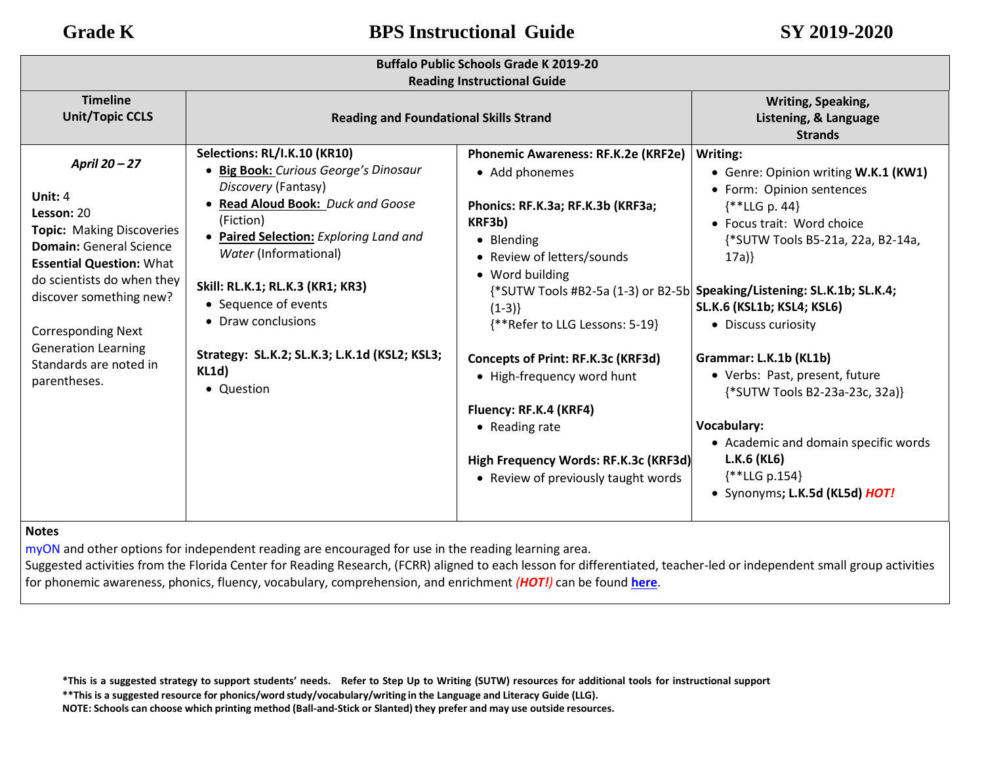| <b>Buffalo Public Schools Grade K 2019-20</b><br><b>Reading Instructional Guide</b>                                                                                                                                                                                                                           |                                                                                                                                                                                                                                                                                                                                                                             |                                                                                                                                                                                                                                                                                                                                                                                                                  |                                                                                                                                                                                                                                                                                                                                                                                                                                                                                                                                           |  |
|---------------------------------------------------------------------------------------------------------------------------------------------------------------------------------------------------------------------------------------------------------------------------------------------------------------|-----------------------------------------------------------------------------------------------------------------------------------------------------------------------------------------------------------------------------------------------------------------------------------------------------------------------------------------------------------------------------|------------------------------------------------------------------------------------------------------------------------------------------------------------------------------------------------------------------------------------------------------------------------------------------------------------------------------------------------------------------------------------------------------------------|-------------------------------------------------------------------------------------------------------------------------------------------------------------------------------------------------------------------------------------------------------------------------------------------------------------------------------------------------------------------------------------------------------------------------------------------------------------------------------------------------------------------------------------------|--|
| <b>Timeline</b><br><b>Unit/Topic CCLS</b>                                                                                                                                                                                                                                                                     | <b>Reading and Foundational Skills Strand</b>                                                                                                                                                                                                                                                                                                                               |                                                                                                                                                                                                                                                                                                                                                                                                                  | Writing, Speaking,<br>Listening, & Language<br><b>Strands</b>                                                                                                                                                                                                                                                                                                                                                                                                                                                                             |  |
| April 20 - 27<br>Unit: 4<br>Lesson: 20<br><b>Topic: Making Discoveries</b><br><b>Domain: General Science</b><br><b>Essential Question: What</b><br>do scientists do when they<br>discover something new?<br><b>Corresponding Next</b><br><b>Generation Learning</b><br>Standards are noted in<br>parentheses. | Selections: RL/I.K.10 (KR10)<br>• Big Book: Curious George's Dinosaur<br>Discovery (Fantasy)<br>• Read Aloud Book: Duck and Goose<br>(Fiction)<br>• Paired Selection: Exploring Land and<br>Water (Informational)<br>Skill: RL.K.1; RL.K.3 (KR1; KR3)<br>• Sequence of events<br>• Draw conclusions<br>Strategy: SL.K.2; SL.K.3; L.K.1d (KSL2; KSL3;<br>KL1d)<br>• Question | Phonemic Awareness: RF.K.2e (KRF2e)<br>• Add phonemes<br>Phonics: RF.K.3a; RF.K.3b (KRF3a;<br>KRF3b)<br>• Blending<br>• Review of letters/sounds<br>• Word building<br>$(1-3)$<br>{**Refer to LLG Lessons: 5-19}<br>Concepts of Print: RF.K.3c (KRF3d)<br>• High-frequency word hunt<br>Fluency: RF.K.4 (KRF4)<br>• Reading rate<br>High Frequency Words: RF.K.3c (KRF3d)<br>• Review of previously taught words | Writing:<br>• Genre: Opinion writing W.K.1 (KW1)<br>• Form: Opinion sentences<br>$*$ LLG p. 44}<br>• Focus trait: Word choice<br>{*SUTW Tools B5-21a, 22a, B2-14a,<br>17a)<br>{*SUTW Tools #B2-5a (1-3) or B2-5b Speaking/Listening: SL.K.1b; SL.K.4;<br>SL.K.6 (KSL1b; KSL4; KSL6)<br>• Discuss curiosity<br>Grammar: L.K.1b (KL1b)<br>• Verbs: Past, present, future<br>{*SUTW Tools B2-23a-23c, 32a)}<br><b>Vocabulary:</b><br>• Academic and domain specific words<br>L.K.6 (KL6)<br>$*$ LLG p.154}<br>• Synonyms; L.K.5d (KL5d) HOT! |  |

## **Notes**

[myON a](https://www.myon.com/login/)nd other options for independent reading are encouraged for use in the reading learning area.

Suggested activities from the Florida Center for Reading Research, (FCRR) aligned to each lesson for differentiated, teacher-led or independent small group activities for phonemic awareness, phonics, fluency, vocabulary, comprehension, and enrichment *(HOT!)* can be found **[here](https://www.buffaloschools.org/cms/lib/NY01913551/Centricity/Domain/70/Kinder_Enrichment_Activities_Aligned_to_HMH_Journeys_lessons_from_FCRR_9-6.pdf)**.

\*This is a suggested strategy to support students' needs. Refer to Step Up to Writing (SUTW) resources for additional tools for instructional support

**\*\*This is a suggested resource for phonics/word study/vocabulary/writing in the Language and Literacy Guide (LLG).**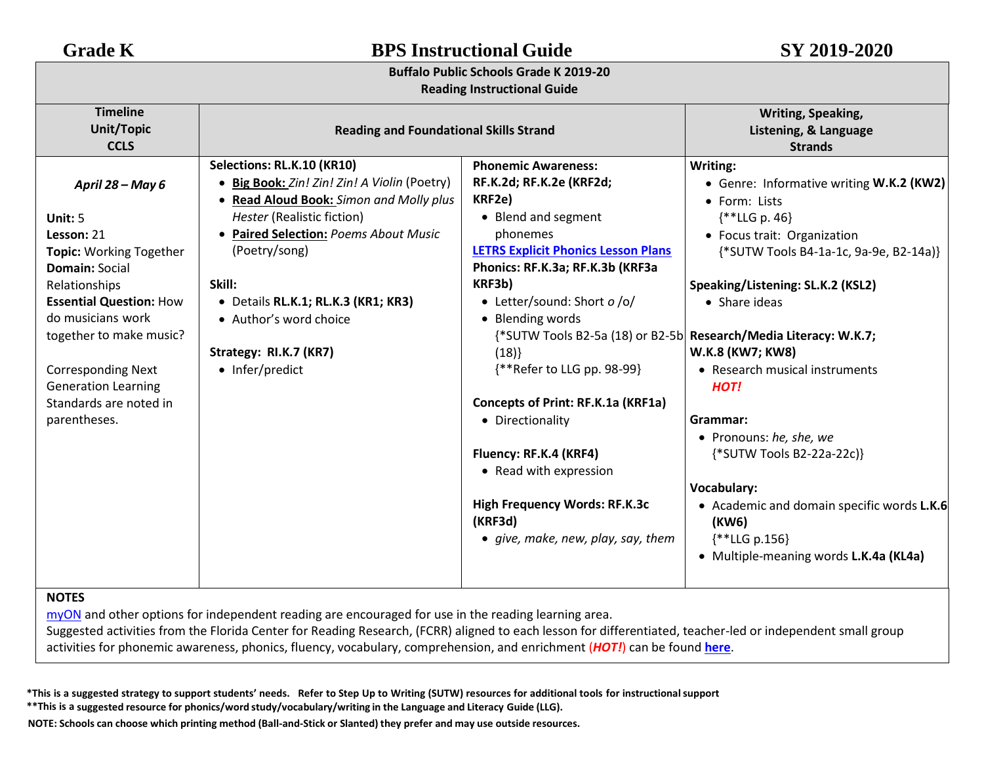| <b>BPS Instructional Guide</b>                                                                                                                                                                                                                                                                                                        |                                                                                                                                                                                                                                                                                                                                                                                                                                                                                          | SY 2019-2020                                                                                                                                                                                                                                                                                                                                                                                                                                                                                                                                                    |  |  |  |
|---------------------------------------------------------------------------------------------------------------------------------------------------------------------------------------------------------------------------------------------------------------------------------------------------------------------------------------|------------------------------------------------------------------------------------------------------------------------------------------------------------------------------------------------------------------------------------------------------------------------------------------------------------------------------------------------------------------------------------------------------------------------------------------------------------------------------------------|-----------------------------------------------------------------------------------------------------------------------------------------------------------------------------------------------------------------------------------------------------------------------------------------------------------------------------------------------------------------------------------------------------------------------------------------------------------------------------------------------------------------------------------------------------------------|--|--|--|
| <b>Grade K</b><br><b>Buffalo Public Schools Grade K 2019-20</b><br><b>Reading Instructional Guide</b>                                                                                                                                                                                                                                 |                                                                                                                                                                                                                                                                                                                                                                                                                                                                                          |                                                                                                                                                                                                                                                                                                                                                                                                                                                                                                                                                                 |  |  |  |
| <b>Reading and Foundational Skills Strand</b>                                                                                                                                                                                                                                                                                         |                                                                                                                                                                                                                                                                                                                                                                                                                                                                                          | Writing, Speaking,<br>Listening, & Language<br><b>Strands</b>                                                                                                                                                                                                                                                                                                                                                                                                                                                                                                   |  |  |  |
| Selections: RL.K.10 (KR10)<br>• Big Book: Zin! Zin! Zin! A Violin (Poetry)<br>• Read Aloud Book: Simon and Molly plus<br>Hester (Realistic fiction)<br>• Paired Selection: Poems About Music<br>(Poetry/song)<br>Skill:<br>· Details RL.K.1; RL.K.3 (KR1; KR3)<br>• Author's word choice<br>Strategy: RI.K.7 (KR7)<br>• Infer/predict | <b>Phonemic Awareness:</b><br>RF.K.2d; RF.K.2e (KRF2d;<br>KRF2e)<br>• Blend and segment<br>phonemes<br><b>LETRS Explicit Phonics Lesson Plans</b><br>Phonics: RF.K.3a; RF.K.3b (KRF3a<br>KRF3b)<br>• Letter/sound: Short o /o/<br>• Blending words<br>(18)<br>{**Refer to LLG pp. 98-99}<br>Concepts of Print: RF.K.1a (KRF1a)<br>• Directionality<br>Fluency: RF.K.4 (KRF4)<br>• Read with expression<br>High Frequency Words: RF.K.3c<br>(KRF3d)<br>• give, make, new, play, say, them | Writing:<br>• Genre: Informative writing W.K.2 (KW2)<br>• Form: Lists<br>$**LLG p. 46$<br>• Focus trait: Organization<br>{*SUTW Tools B4-1a-1c, 9a-9e, B2-14a)}<br>Speaking/Listening: SL.K.2 (KSL2)<br>• Share ideas<br>{*SUTW Tools B2-5a (18) or B2-5b Research/Media Literacy: W.K.7;<br>W.K.8 (KW7; KW8)<br>• Research musical instruments<br>HOT!<br>Grammar:<br>• Pronouns: he, she, we<br>{*SUTW Tools B2-22a-22c)}<br>Vocabulary:<br>• Academic and domain specific words L.K.6<br>(KW6)<br>$\{$ *LLG p.156}<br>• Multiple-meaning words L.K.4a (KL4a) |  |  |  |
|                                                                                                                                                                                                                                                                                                                                       |                                                                                                                                                                                                                                                                                                                                                                                                                                                                                          |                                                                                                                                                                                                                                                                                                                                                                                                                                                                                                                                                                 |  |  |  |

[myON](https://www.myon.com/login/) and other options for independent reading are encouraged for use in the reading learning area.

Suggested activities from the Florida Center for Reading Research, (FCRR) aligned to each lesson for differentiated, teacher-led or independent small group activities for phonemic awareness, phonics, fluency, vocabulary, comprehension, and enrichment (*HOT!*) can be found **[here](https://www.buffaloschools.org/cms/lib/NY01913551/Centricity/Domain/70/Kinder_Enrichment_Activities_Aligned_to_HMH_Journeys_lessons_from_FCRR_9-6.pdf)**[.](http://www.buffaloschools.org/files/129058/Kinder_Activities_Aligned_to_HMH_Journeys_lessons_from_FCRR.pdf)

\*This is a suggested strategy to support students' needs. Refer to Step Up to Writing (SUTW) resources for additional tools for instructional support

**\*\*This is a suggested resource for phonics/word study/vocabulary/writing in the Language and Literacy Guide (LLG).**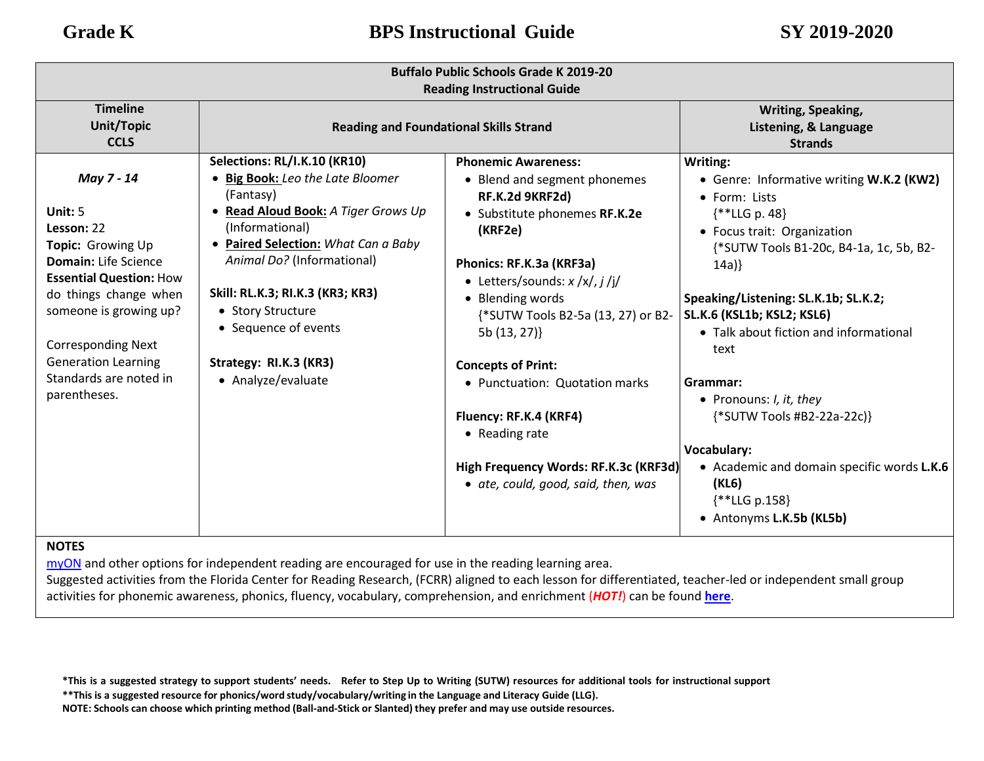| <b>Buffalo Public Schools Grade K 2019-20</b><br><b>Reading Instructional Guide</b>                                                                                                                                                                                                 |                                                                                                                                                                                                                                                                                                                                             |                                                                                                                                                                                                                                                                                                                                                                                                                                                                     |                                                                                                                                                                                                                                                                                                                                                                                                                                                                                                   |  |
|-------------------------------------------------------------------------------------------------------------------------------------------------------------------------------------------------------------------------------------------------------------------------------------|---------------------------------------------------------------------------------------------------------------------------------------------------------------------------------------------------------------------------------------------------------------------------------------------------------------------------------------------|---------------------------------------------------------------------------------------------------------------------------------------------------------------------------------------------------------------------------------------------------------------------------------------------------------------------------------------------------------------------------------------------------------------------------------------------------------------------|---------------------------------------------------------------------------------------------------------------------------------------------------------------------------------------------------------------------------------------------------------------------------------------------------------------------------------------------------------------------------------------------------------------------------------------------------------------------------------------------------|--|
| <b>Timeline</b><br><b>Unit/Topic</b><br><b>CCLS</b>                                                                                                                                                                                                                                 | <b>Reading and Foundational Skills Strand</b>                                                                                                                                                                                                                                                                                               |                                                                                                                                                                                                                                                                                                                                                                                                                                                                     | Writing, Speaking,<br>Listening, & Language<br><b>Strands</b>                                                                                                                                                                                                                                                                                                                                                                                                                                     |  |
| May 7 - 14<br>Unit: $5$<br>Lesson: 22<br>Topic: Growing Up<br><b>Domain:</b> Life Science<br><b>Essential Question: How</b><br>do things change when<br>someone is growing up?<br><b>Corresponding Next</b><br><b>Generation Learning</b><br>Standards are noted in<br>parentheses. | Selections: RL/I.K.10 (KR10)<br>• Big Book: Leo the Late Bloomer<br>(Fantasy)<br>Read Aloud Book: A Tiger Grows Up<br>(Informational)<br>• Paired Selection: What Can a Baby<br>Animal Do? (Informational)<br>Skill: RL.K.3; RI.K.3 (KR3; KR3)<br>• Story Structure<br>• Sequence of events<br>Strategy: RI.K.3 (KR3)<br>• Analyze/evaluate | <b>Phonemic Awareness:</b><br>• Blend and segment phonemes<br>RF.K.2d 9KRF2d)<br>• Substitute phonemes RF.K.2e<br>(KRF2e)<br>Phonics: RF.K.3a (KRF3a)<br>• Letters/sounds: $x / x / j / j / j$<br>• Blending words<br>{*SUTW Tools B2-5a (13, 27) or B2-<br>5b (13, 27)}<br><b>Concepts of Print:</b><br>• Punctuation: Quotation marks<br>Fluency: RF.K.4 (KRF4)<br>• Reading rate<br>High Frequency Words: RF.K.3c (KRF3d)<br>• ate, could, good, said, then, was | Writing:<br>• Genre: Informative writing W.K.2 (KW2)<br>• Form: Lists<br>$\{$ **LLG p. 48\}<br>• Focus trait: Organization<br>{*SUTW Tools B1-20c, B4-1a, 1c, 5b, B2-<br>14a)<br>Speaking/Listening: SL.K.1b; SL.K.2;<br>SL.K.6 (KSL1b; KSL2; KSL6)<br>• Talk about fiction and informational<br>text<br>Grammar:<br>• Pronouns: I, it, they<br>{*SUTW Tools #B2-22a-22c)}<br>Vocabulary:<br>• Academic and domain specific words L.K.6<br>(KL6)<br>$\{$ **LLG p.158}<br>• Antonyms L.K.5b (KL5b) |  |

[myON](https://www.myon.com/login/) and other options for independent reading are encouraged for use in the reading learning area.

Suggested activities from the Florida Center for Reading Research, (FCRR) aligned to each lesson for differentiated, teacher-led or independent small group activities for phonemic awareness, phonics, fluency, vocabulary, comprehension, and enrichment (*HOT!*) can be found **[here](https://www.buffaloschools.org/cms/lib/NY01913551/Centricity/Domain/70/Kinder_Enrichment_Activities_Aligned_to_HMH_Journeys_lessons_from_FCRR_9-6.pdf)**[.](http://www.buffaloschools.org/files/129058/Kinder_Activities_Aligned_to_HMH_Journeys_lessons_from_FCRR.pdf)

\*This is a suggested strategy to support students' needs. Refer to Step Up to Writing (SUTW) resources for additional tools for instructional support **\*\*This is a suggested resource for phonics/word study/vocabulary/writing in the Language and Literacy Guide (LLG).**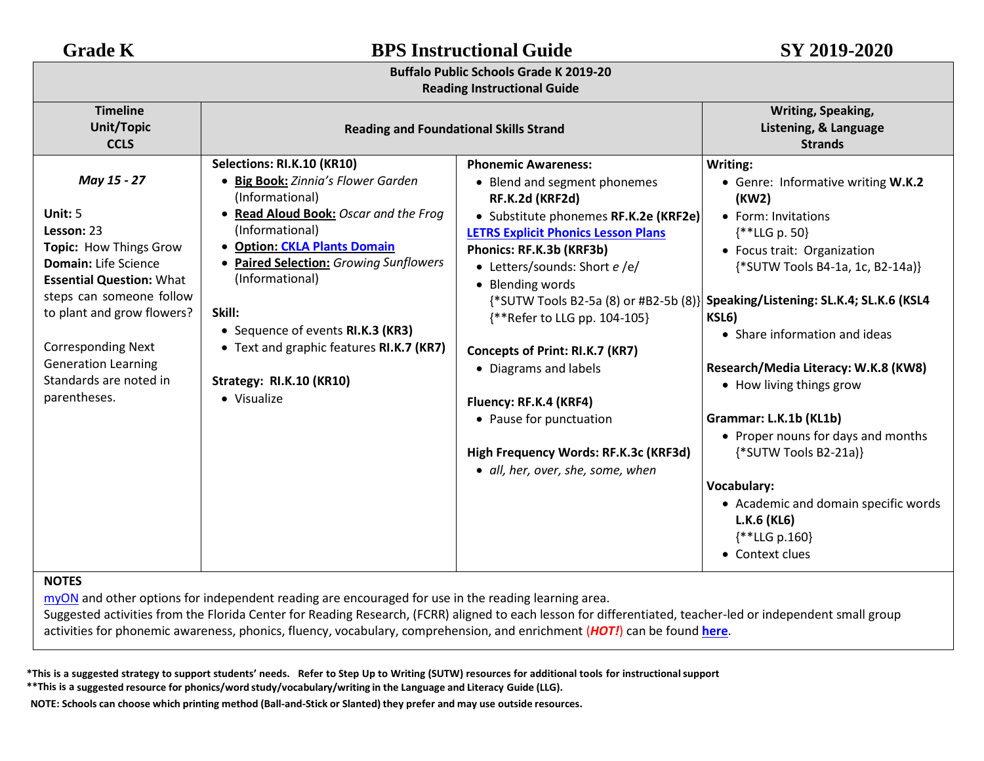## **Buffalo Public Schools Grade K 2019-20**

### **Reading Instructional Guide**

| Reading mou actional Galac                                                                                                                                                                                                                                                                      |                                                                                                                                                                                                                                                                                                                                                                                                         |                                                                                                                                                                                                                                                                                                                                                                                                                                                                                      |                                                                                                                                                                                                                                                                                                                                                                                                                                                                                                                                                                                        |  |
|-------------------------------------------------------------------------------------------------------------------------------------------------------------------------------------------------------------------------------------------------------------------------------------------------|---------------------------------------------------------------------------------------------------------------------------------------------------------------------------------------------------------------------------------------------------------------------------------------------------------------------------------------------------------------------------------------------------------|--------------------------------------------------------------------------------------------------------------------------------------------------------------------------------------------------------------------------------------------------------------------------------------------------------------------------------------------------------------------------------------------------------------------------------------------------------------------------------------|----------------------------------------------------------------------------------------------------------------------------------------------------------------------------------------------------------------------------------------------------------------------------------------------------------------------------------------------------------------------------------------------------------------------------------------------------------------------------------------------------------------------------------------------------------------------------------------|--|
| <b>Timeline</b><br><b>Unit/Topic</b><br><b>CCLS</b>                                                                                                                                                                                                                                             | <b>Reading and Foundational Skills Strand</b>                                                                                                                                                                                                                                                                                                                                                           |                                                                                                                                                                                                                                                                                                                                                                                                                                                                                      | Writing, Speaking,<br>Listening, & Language<br><b>Strands</b>                                                                                                                                                                                                                                                                                                                                                                                                                                                                                                                          |  |
| May 15 - 27<br>Unit: 5<br>Lesson: 23<br>Topic: How Things Grow<br><b>Domain:</b> Life Science<br><b>Essential Question: What</b><br>steps can someone follow<br>to plant and grow flowers?<br><b>Corresponding Next</b><br><b>Generation Learning</b><br>Standards are noted in<br>parentheses. | Selections: RI.K.10 (KR10)<br>• Big Book: Zinnia's Flower Garden<br>(Informational)<br>Read Aloud Book: Oscar and the Frog<br>(Informational)<br><b>Option: CKLA Plants Domain</b><br>$\bullet$<br><b>Paired Selection: Growing Sunflowers</b><br>(Informational)<br>Skill:<br>• Sequence of events RI.K.3 (KR3)<br>• Text and graphic features RI.K.7 (KR7)<br>Strategy: RI.K.10 (KR10)<br>• Visualize | <b>Phonemic Awareness:</b><br>• Blend and segment phonemes<br>RF.K.2d (KRF2d)<br>• Substitute phonemes RF.K.2e (KRF2e)<br><b>LETRS Explicit Phonics Lesson Plans</b><br>Phonics: RF.K.3b (KRF3b)<br>• Letters/sounds: Short e /e/<br>• Blending words<br>{**Refer to LLG pp. 104-105}<br>Concepts of Print: RI.K.7 (KR7)<br>• Diagrams and labels<br>Fluency: RF.K.4 (KRF4)<br>• Pause for punctuation<br>High Frequency Words: RF.K.3c (KRF3d)<br>• all, her, over, she, some, when | Writing:<br>• Genre: Informative writing W.K.2<br>(KW2)<br>• Form: Invitations<br>$\{$ **LLG p. 50}<br>• Focus trait: Organization<br>{*SUTW Tools B4-1a, 1c, B2-14a)}<br>{*SUTW Tools B2-5a (8) or #B2-5b (8)} Speaking/Listening: SL.K.4; SL.K.6 (KSL4<br>KSL6)<br>• Share information and ideas<br>Research/Media Literacy: W.K.8 (KW8)<br>• How living things grow<br>Grammar: L.K.1b (KL1b)<br>• Proper nouns for days and months<br>{*SUTW Tools B2-21a)}<br><b>Vocabulary:</b><br>• Academic and domain specific words<br>$L.K.6$ (KL6)<br>$\{$ **LLG p.160}<br>• Context clues |  |

### **NOTES**

[myON](https://www.myon.com/login/) and other options for independent reading are encouraged for use in the reading learning area.

Suggested activities from the Florida Center for Reading Research, (FCRR) aligned to each lesson for differentiated, teacher-led or independent small group activities for phonemic awareness, phonics, fluency, vocabulary, comprehension, and enrichment (*HOT!*) can be found **[here](https://www.buffaloschools.org/cms/lib/NY01913551/Centricity/Domain/70/Kinder_Enrichment_Activities_Aligned_to_HMH_Journeys_lessons_from_FCRR_9-6.pdf)**.

\*This is a suggested strategy to support students' needs. Refer to Step Up to Writing (SUTW) resources for additional tools for instructional support **\*\*This is a suggested resource for phonics/word study/vocabulary/writing in the Language and Literacy Guide (LLG).**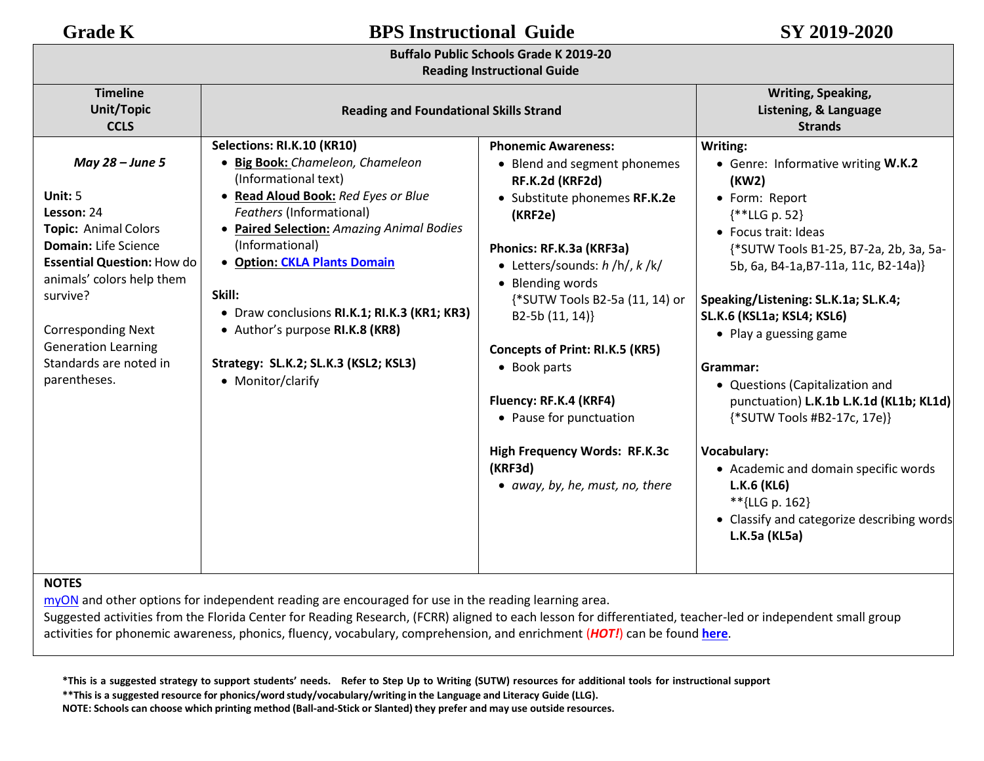## **Buffalo Public Schools Grade K 2019-20**

### **Reading Instructional Guide**

| <b>Timeline</b><br>Unit/Topic<br><b>CCLS</b>                                                                                                                                                                                                                                         | <b>Reading and Foundational Skills Strand</b>                                                                                                                                                                                                                                                                                                                                                                                      |                                                                                                                                                                                                                                                                                                                                                                                                                                                                   | Writing, Speaking,<br>Listening, & Language<br><b>Strands</b>                                                                                                                                                                                                                                                                                                                                                                                                                                                                                                                               |  |
|--------------------------------------------------------------------------------------------------------------------------------------------------------------------------------------------------------------------------------------------------------------------------------------|------------------------------------------------------------------------------------------------------------------------------------------------------------------------------------------------------------------------------------------------------------------------------------------------------------------------------------------------------------------------------------------------------------------------------------|-------------------------------------------------------------------------------------------------------------------------------------------------------------------------------------------------------------------------------------------------------------------------------------------------------------------------------------------------------------------------------------------------------------------------------------------------------------------|---------------------------------------------------------------------------------------------------------------------------------------------------------------------------------------------------------------------------------------------------------------------------------------------------------------------------------------------------------------------------------------------------------------------------------------------------------------------------------------------------------------------------------------------------------------------------------------------|--|
| May 28 – June 5<br>Unit: $5$<br>Lesson: 24<br><b>Topic: Animal Colors</b><br>Domain: Life Science<br><b>Essential Question: How do</b><br>animals' colors help them<br>survive?<br><b>Corresponding Next</b><br><b>Generation Learning</b><br>Standards are noted in<br>parentheses. | Selections: RI.K.10 (KR10)<br>• Big Book: Chameleon, Chameleon<br>(Informational text)<br>• Read Aloud Book: Red Eyes or Blue<br><b>Feathers (Informational)</b><br>• Paired Selection: Amazing Animal Bodies<br>(Informational)<br><b>.</b> Option: CKLA Plants Domain<br>Skill:<br>• Draw conclusions RI.K.1; RI.K.3 (KR1; KR3)<br>• Author's purpose RI.K.8 (KR8)<br>Strategy: SL.K.2; SL.K.3 (KSL2; KSL3)<br>• Monitor/clarify | <b>Phonemic Awareness:</b><br>• Blend and segment phonemes<br>RF.K.2d (KRF2d)<br>• Substitute phonemes RF.K.2e<br>(KRF2e)<br>Phonics: RF.K.3a (KRF3a)<br>• Letters/sounds: $h/h/$ , $k/k/$<br>• Blending words<br>{*SUTW Tools B2-5a (11, 14) or<br>B2-5b (11, 14)}<br><b>Concepts of Print: RI.K.5 (KR5)</b><br>• Book parts<br>Fluency: RF.K.4 (KRF4)<br>• Pause for punctuation<br>High Frequency Words: RF.K.3c<br>(KRF3d)<br>• away, by, he, must, no, there | Writing:<br>• Genre: Informative writing W.K.2<br>(KW2)<br>• Form: Report<br>$**LLG p. 52$<br>• Focus trait: Ideas<br>{*SUTW Tools B1-25, B7-2a, 2b, 3a, 5a-<br>5b, 6a, B4-1a, B7-11a, 11c, B2-14a)}<br>Speaking/Listening: SL.K.1a; SL.K.4;<br>SL.K.6 (KSL1a; KSL4; KSL6)<br>• Play a guessing game<br>Grammar:<br>• Questions (Capitalization and<br>punctuation) L.K.1b L.K.1d (KL1b; KL1d)<br>{*SUTW Tools #B2-17c, 17e}}<br><b>Vocabulary:</b><br>• Academic and domain specific words<br>L.K.6 (KL6)<br>**{LLG p. 162}<br>• Classify and categorize describing words<br>L.K.5a (KL5a) |  |
| <b>NOTES</b>                                                                                                                                                                                                                                                                         |                                                                                                                                                                                                                                                                                                                                                                                                                                    |                                                                                                                                                                                                                                                                                                                                                                                                                                                                   |                                                                                                                                                                                                                                                                                                                                                                                                                                                                                                                                                                                             |  |

[myON](https://www.myon.com/login/) and other options for independent reading are encouraged for use in the reading learning area.

Suggested activities from the Florida Center for Reading Research, (FCRR) aligned to each lesson for differentiated, teacher-led or independent small group activities for phonemic awareness, phonics, fluency, vocabulary, comprehension, and enrichment (*HOT!*) can be found **[here](https://www.buffaloschools.org/cms/lib/NY01913551/Centricity/Domain/70/Kinder_Enrichment_Activities_Aligned_to_HMH_Journeys_lessons_from_FCRR_9-6.pdf)**.

\*This is a suggested strategy to support students' needs. Refer to Step Up to Writing (SUTW) resources for additional tools for instructional support

**\*\*This is a suggested resource for phonics/word study/vocabulary/writing in the Language and Literacy Guide (LLG).**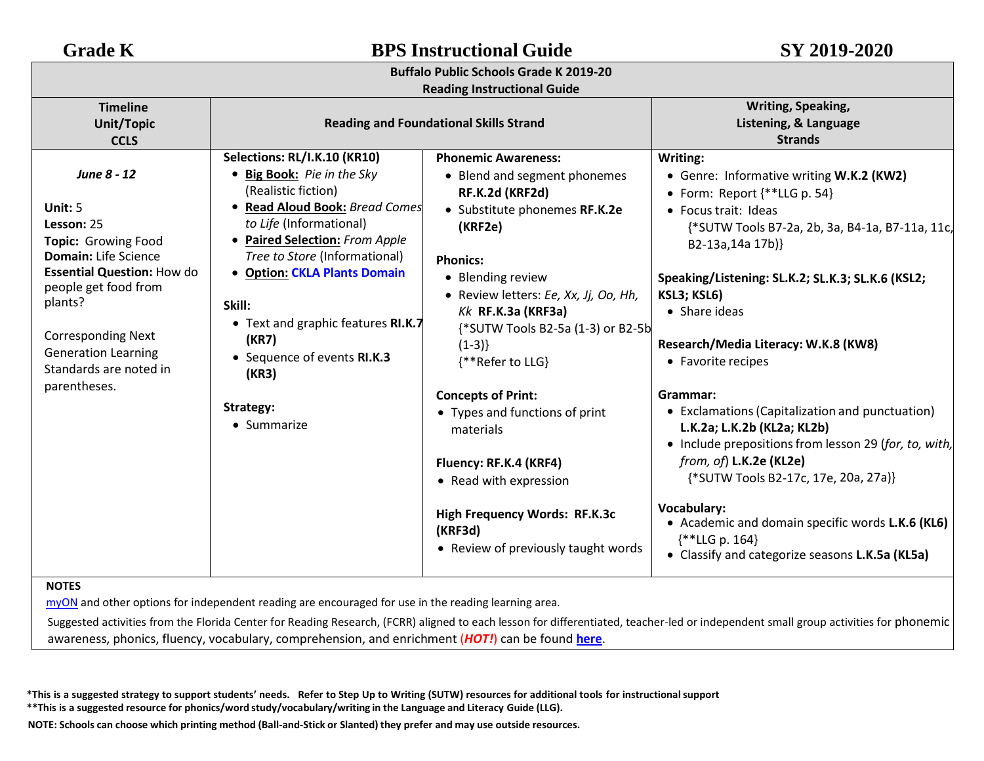| <b>Grade K</b>                                                                                                                                                                                                                                                   | <b>BPS Instructional Guide</b>                                                                                                                                                                                                                                                                                                                                                        |                                                                                                                                                                                                                                                                                                                                                                                                                                                                                                                           | SY 2019-2020                                                                                                                                                                                                                                                                                                                                                                                                                                                                                                                                                                                                                                                                                                                    |  |  |
|------------------------------------------------------------------------------------------------------------------------------------------------------------------------------------------------------------------------------------------------------------------|---------------------------------------------------------------------------------------------------------------------------------------------------------------------------------------------------------------------------------------------------------------------------------------------------------------------------------------------------------------------------------------|---------------------------------------------------------------------------------------------------------------------------------------------------------------------------------------------------------------------------------------------------------------------------------------------------------------------------------------------------------------------------------------------------------------------------------------------------------------------------------------------------------------------------|---------------------------------------------------------------------------------------------------------------------------------------------------------------------------------------------------------------------------------------------------------------------------------------------------------------------------------------------------------------------------------------------------------------------------------------------------------------------------------------------------------------------------------------------------------------------------------------------------------------------------------------------------------------------------------------------------------------------------------|--|--|
| <b>Buffalo Public Schools Grade K 2019-20</b>                                                                                                                                                                                                                    |                                                                                                                                                                                                                                                                                                                                                                                       |                                                                                                                                                                                                                                                                                                                                                                                                                                                                                                                           |                                                                                                                                                                                                                                                                                                                                                                                                                                                                                                                                                                                                                                                                                                                                 |  |  |
| <b>Timeline</b><br><b>Unit/Topic</b><br><b>CCLS</b>                                                                                                                                                                                                              |                                                                                                                                                                                                                                                                                                                                                                                       | <b>Reading Instructional Guide</b><br><b>Reading and Foundational Skills Strand</b>                                                                                                                                                                                                                                                                                                                                                                                                                                       | Writing, Speaking,<br>Listening, & Language<br><b>Strands</b>                                                                                                                                                                                                                                                                                                                                                                                                                                                                                                                                                                                                                                                                   |  |  |
| June 8 - 12<br>Unit: 5<br>Lesson: 25<br>Topic: Growing Food<br>Domain: Life Science<br><b>Essential Question: How do</b><br>people get food from<br>plants?<br><b>Corresponding Next</b><br><b>Generation Learning</b><br>Standards are noted in<br>parentheses. | Selections: RL/I.K.10 (KR10)<br>• Big Book: Pie in the Sky<br>(Realistic fiction)<br>• Read Aloud Book: Bread Comes<br>to Life (Informational)<br>• Paired Selection: From Apple<br>Tree to Store (Informational)<br><b>.</b> Option: CKLA Plants Domain<br>Skill:<br>• Text and graphic features RI.K.7<br>(KR7)<br>• Sequence of events RI.K.3<br>(KR3)<br>Strategy:<br>• Summarize | <b>Phonemic Awareness:</b><br>• Blend and segment phonemes<br>RF.K.2d (KRF2d)<br>• Substitute phonemes RF.K.2e<br>(KRF2e)<br><b>Phonics:</b><br>• Blending review<br>· Review letters: Ee, Xx, Jj, Oo, Hh,<br>$Kk$ RF.K.3a (KRF3a)<br>{*SUTW Tools B2-5a (1-3) or B2-5b<br>$(1-3)$<br>{**Refer to LLG}<br><b>Concepts of Print:</b><br>• Types and functions of print<br>materials<br>Fluency: RF.K.4 (KRF4)<br>• Read with expression<br>High Frequency Words: RF.K.3c<br>(KRF3d)<br>• Review of previously taught words | Writing:<br>• Genre: Informative writing W.K.2 (KW2)<br>• Form: Report $\{\ast\ast LLG\$ p. 54}<br>• Focus trait: Ideas<br>{*SUTW Tools B7-2a, 2b, 3a, B4-1a, B7-11a, 11c,<br>B2-13a,14a 17b)}<br>Speaking/Listening: SL.K.2; SL.K.3; SL.K.6 (KSL2;<br>KSL3; KSL6)<br>• Share ideas<br>Research/Media Literacy: W.K.8 (KW8)<br>• Favorite recipes<br>Grammar:<br>• Exclamations (Capitalization and punctuation)<br>L.K.2a; L.K.2b (KL2a; KL2b)<br>• Include prepositions from lesson 29 (for, to, with,<br>from, of) L.K.2e (KL2e)<br>{*SUTW Tools B2-17c, 17e, 20a, 27a)}<br><b>Vocabulary:</b><br>• Academic and domain specific words L.K.6 (KL6)<br>$\{***LLG p. 164\}$<br>• Classify and categorize seasons L.K.5a (KL5a) |  |  |

Suggested activities from the Florida Center for Reading Research, (FCRR) aligned to each lesson for differentiated, teacher-led or independent small group activities for phonemic awareness, phonics, fluency, vocabulary, comprehension, and enrichment (*HOT!*) can be found **[here](https://www.buffaloschools.org/cms/lib/NY01913551/Centricity/Domain/70/Kinder_Enrichment_Activities_Aligned_to_HMH_Journeys_lessons_from_FCRR_9-6.pdf)**[.](http://www.buffaloschools.org/files/129058/Kinder_Activities_Aligned_to_HMH_Journeys_lessons_from_FCRR.pdf)

\*This is a suggested strategy to support students' needs. Refer to Step Up to Writing (SUTW) resources for additional tools for instructional support **\*\*This is a suggested resource for phonics/word study/vocabulary/writing in the Language and Literacy Guide (LLG).**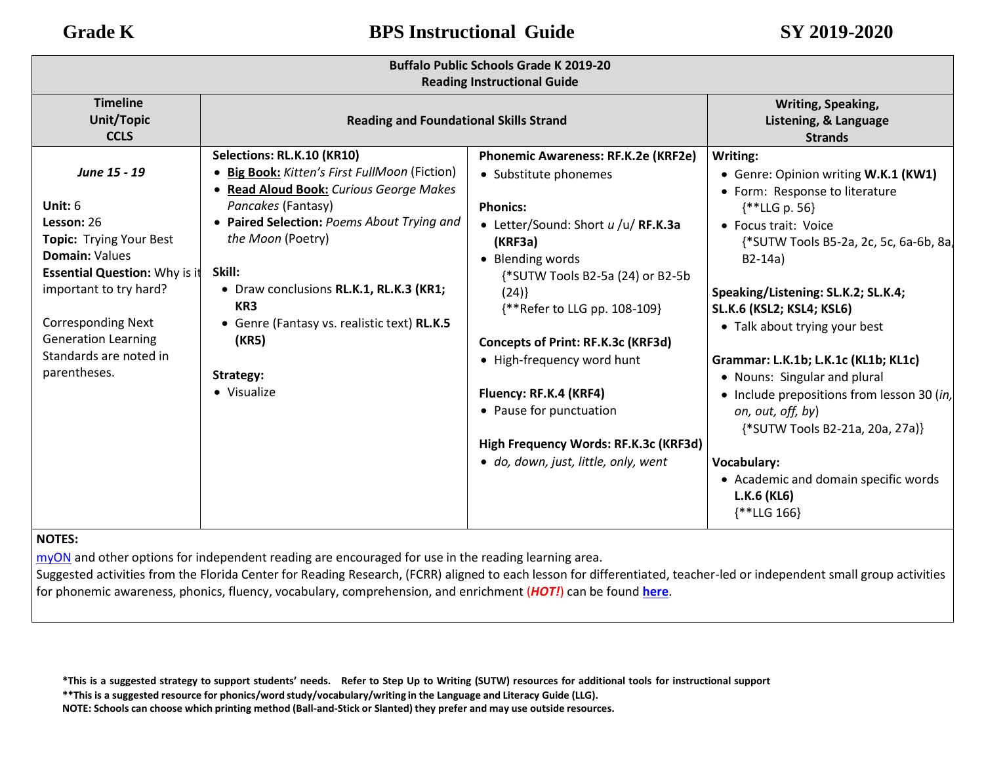| <b>Buffalo Public Schools Grade K 2019-20</b><br><b>Reading Instructional Guide</b>                                                                                                                                                                                       |                                                                                                                                                                                                                                                                                                                                                                             |                                                                                                                                                                                                                                                                                                                                                                                                                                             |                                                                                                                                                                                                                                                                                                                                                                                                                                                                                                                                                                             |  |
|---------------------------------------------------------------------------------------------------------------------------------------------------------------------------------------------------------------------------------------------------------------------------|-----------------------------------------------------------------------------------------------------------------------------------------------------------------------------------------------------------------------------------------------------------------------------------------------------------------------------------------------------------------------------|---------------------------------------------------------------------------------------------------------------------------------------------------------------------------------------------------------------------------------------------------------------------------------------------------------------------------------------------------------------------------------------------------------------------------------------------|-----------------------------------------------------------------------------------------------------------------------------------------------------------------------------------------------------------------------------------------------------------------------------------------------------------------------------------------------------------------------------------------------------------------------------------------------------------------------------------------------------------------------------------------------------------------------------|--|
| <b>Timeline</b><br>Unit/Topic<br><b>CCLS</b>                                                                                                                                                                                                                              | <b>Reading and Foundational Skills Strand</b>                                                                                                                                                                                                                                                                                                                               |                                                                                                                                                                                                                                                                                                                                                                                                                                             | Writing, Speaking,<br>Listening, & Language<br><b>Strands</b>                                                                                                                                                                                                                                                                                                                                                                                                                                                                                                               |  |
| June 15 - 19<br>Unit: $6$<br>Lesson: 26<br><b>Topic: Trying Your Best</b><br><b>Domain: Values</b><br><b>Essential Question: Why is it</b><br>important to try hard?<br><b>Corresponding Next</b><br><b>Generation Learning</b><br>Standards are noted in<br>parentheses. | Selections: RL.K.10 (KR10)<br>• Big Book: Kitten's First FullMoon (Fiction)<br>• Read Aloud Book: Curious George Makes<br>Pancakes (Fantasy)<br>• Paired Selection: Poems About Trying and<br>the Moon (Poetry)<br>Skill:<br>• Draw conclusions RL.K.1, RL.K.3 (KR1;<br>KR <sub>3</sub><br>• Genre (Fantasy vs. realistic text) RL.K.5<br>(KR5)<br>Strategy:<br>• Visualize | Phonemic Awareness: RF.K.2e (KRF2e)<br>• Substitute phonemes<br><b>Phonics:</b><br>• Letter/Sound: Short u /u/ RF.K.3a<br>(KRF3a)<br>• Blending words<br>{*SUTW Tools B2-5a (24) or B2-5b<br>(24)<br>{**Refer to LLG pp. 108-109}<br>Concepts of Print: RF.K.3c (KRF3d)<br>• High-frequency word hunt<br>Fluency: RF.K.4 (KRF4)<br>• Pause for punctuation<br>High Frequency Words: RF.K.3c (KRF3d)<br>• do, down, just, little, only, went | Writing:<br>• Genre: Opinion writing W.K.1 (KW1)<br>• Form: Response to literature<br>$**LLG p. 56$<br>• Focus trait: Voice<br>{*SUTW Tools B5-2a, 2c, 5c, 6a-6b, 8a,<br>$B2-14a)$<br>Speaking/Listening: SL.K.2; SL.K.4;<br><b>SL.K.6 (KSL2; KSL4; KSL6)</b><br>• Talk about trying your best<br>Grammar: L.K.1b; L.K.1c (KL1b; KL1c)<br>• Nouns: Singular and plural<br>• Include prepositions from lesson 30 (in,<br>on, out, off, by)<br>{*SUTW Tools B2-21a, 20a, 27a)}<br>Vocabulary:<br>• Academic and domain specific words<br>L.K.6 (KL6)<br>$\{\ast\ast$ LLG 166} |  |

### **NOTES:**

[myON](https://www.myon.com/login/) and other options for independent reading are encouraged for use in the reading learning area.

Suggested activities from the Florida Center for Reading Research, (FCRR) aligned to each lesson for differentiated, teacher-led or independent small group activities for phonemic awareness, phonics, fluency, vocabulary, comprehension, and enrichment (*HOT!*) can be found **[here](https://www.buffaloschools.org/cms/lib/NY01913551/Centricity/Domain/70/Kinder_Enrichment_Activities_Aligned_to_HMH_Journeys_lessons_from_FCRR_9-6.pdf)**[.](http://www.buffaloschools.org/files/129058/Kinder_Activities_Aligned_to_HMH_Journeys_lessons_from_FCRR.pdf)

\*This is a suggested strategy to support students' needs. Refer to Step Up to Writing (SUTW) resources for additional tools for instructional support

**\*\*This is a suggested resource for phonics/word study/vocabulary/writing in the Language and Literacy Guide (LLG).**